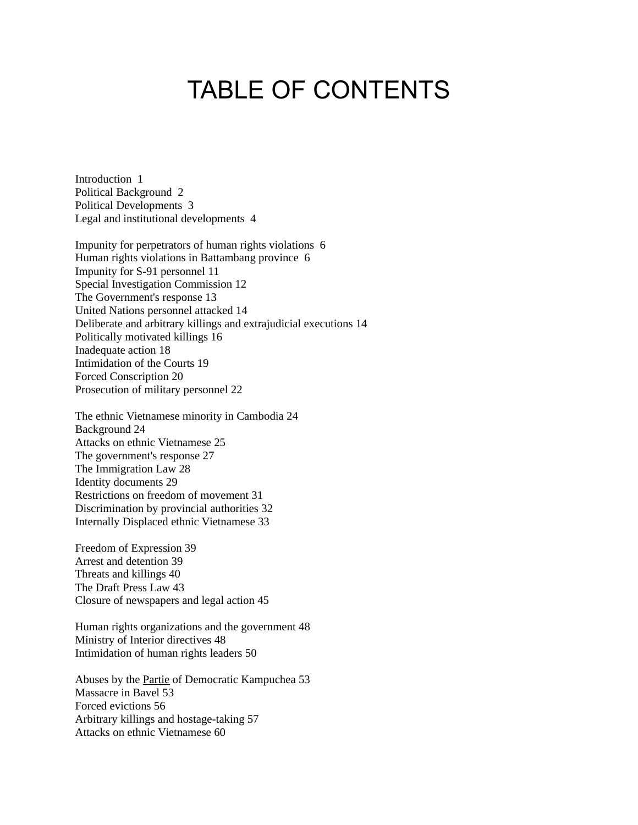# TABLE OF CONTENTS

Introduction 1 Political Background 2 Political Developments 3 Legal and institutional developments 4

Impunity for perpetrators of human rights violations 6 Human rights violations in Battambang province 6 Impunity for S-91 personnel 11 Special Investigation Commission 12 The Government's response 13 United Nations personnel attacked 14 Deliberate and arbitrary killings and extrajudicial executions 14 Politically motivated killings 16 Inadequate action 18 Intimidation of the Courts 19 Forced Conscription 20 Prosecution of military personnel 22

The ethnic Vietnamese minority in Cambodia 24 Background 24 Attacks on ethnic Vietnamese 25 The government's response 27 The Immigration Law 28 Identity documents 29 Restrictions on freedom of movement 31 Discrimination by provincial authorities 32 Internally Displaced ethnic Vietnamese 33

Freedom of Expression 39 Arrest and detention 39 Threats and killings 40 The Draft Press Law 43 Closure of newspapers and legal action 45

Human rights organizations and the government 48 Ministry of Interior directives 48 Intimidation of human rights leaders 50

Abuses by the Partie of Democratic Kampuchea 53 Massacre in Bavel 53 Forced evictions 56 Arbitrary killings and hostage-taking 57 Attacks on ethnic Vietnamese 60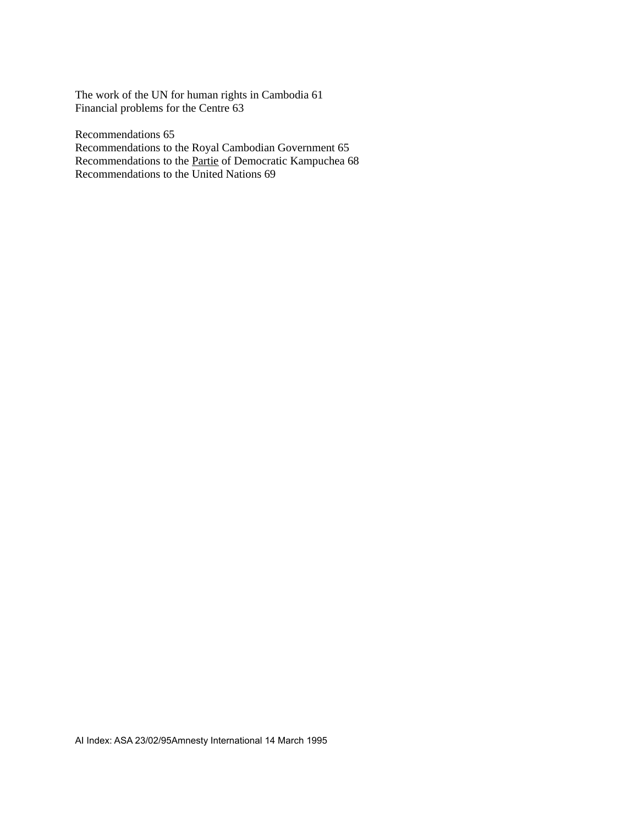The work of the UN for human rights in Cambodia 61 Financial problems for the Centre 63

Recommendations 65 Recommendations to the Royal Cambodian Government 65 Recommendations to the **Partie** of Democratic Kampuchea 68 Recommendations to the United Nations 69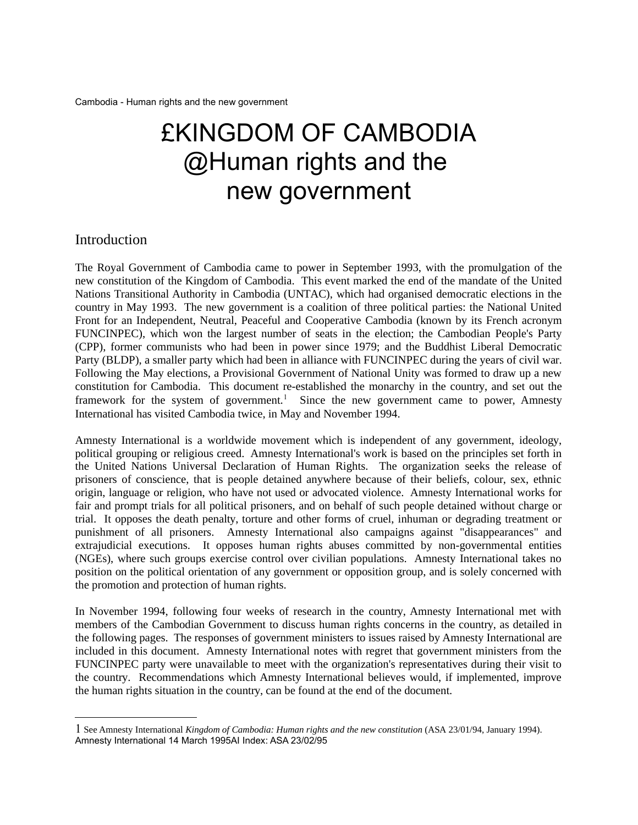# £KINGDOM OF CAMBODIA @Human rights and the new government

# Introduction

The Royal Government of Cambodia came to power in September 1993, with the promulgation of the new constitution of the Kingdom of Cambodia. This event marked the end of the mandate of the United Nations Transitional Authority in Cambodia (UNTAC), which had organised democratic elections in the country in May 1993. The new government is a coalition of three political parties: the National United Front for an Independent, Neutral, Peaceful and Cooperative Cambodia (known by its French acronym FUNCINPEC), which won the largest number of seats in the election; the Cambodian People's Party (CPP), former communists who had been in power since 1979; and the Buddhist Liberal Democratic Party (BLDP), a smaller party which had been in alliance with FUNCINPEC during the years of civil war. Following the May elections, a Provisional Government of National Unity was formed to draw up a new constitution for Cambodia. This document re-established the monarchy in the country, and set out the framework for the system of government.<sup>[1](#page-2-0)</sup> Since the new government came to power, Amnesty International has visited Cambodia twice, in May and November 1994.

Amnesty International is a worldwide movement which is independent of any government, ideology, political grouping or religious creed. Amnesty International's work is based on the principles set forth in the United Nations Universal Declaration of Human Rights. The organization seeks the release of prisoners of conscience, that is people detained anywhere because of their beliefs, colour, sex, ethnic origin, language or religion, who have not used or advocated violence. Amnesty International works for fair and prompt trials for all political prisoners, and on behalf of such people detained without charge or trial. It opposes the death penalty, torture and other forms of cruel, inhuman or degrading treatment or punishment of all prisoners. Amnesty International also campaigns against "disappearances" and extrajudicial executions. It opposes human rights abuses committed by non-governmental entities (NGEs), where such groups exercise control over civilian populations. Amnesty International takes no position on the political orientation of any government or opposition group, and is solely concerned with the promotion and protection of human rights.

In November 1994, following four weeks of research in the country, Amnesty International met with members of the Cambodian Government to discuss human rights concerns in the country, as detailed in the following pages. The responses of government ministers to issues raised by Amnesty International are included in this document. Amnesty International notes with regret that government ministers from the FUNCINPEC party were unavailable to meet with the organization's representatives during their visit to the country. Recommendations which Amnesty International believes would, if implemented, improve the human rights situation in the country, can be found at the end of the document.

<span id="page-2-0"></span><sup>1</sup> See Amnesty International *Kingdom of Cambodia: Human rights and the new constitution* (ASA 23/01/94, January 1994). Amnesty International 14 March 1995AI Index: ASA 23/02/95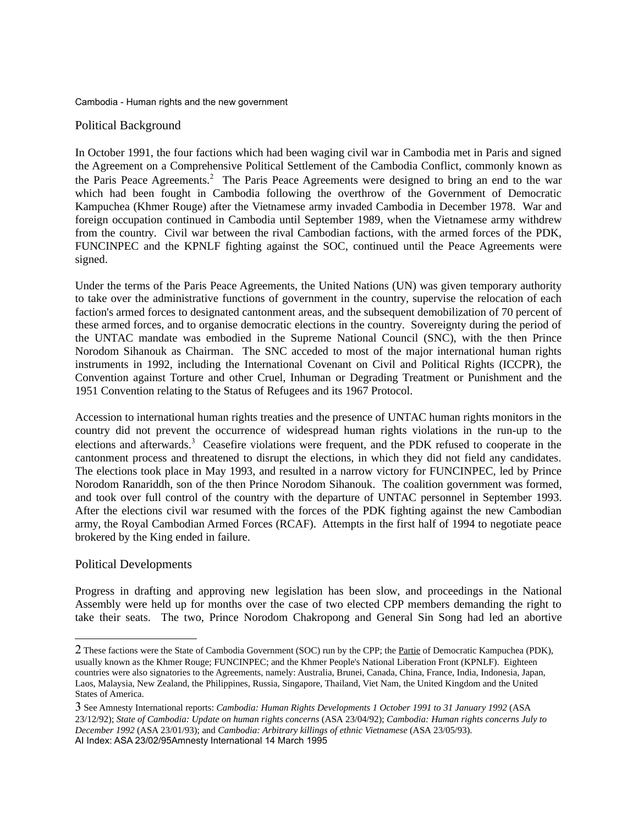## Political Background

In October 1991, the four factions which had been waging civil war in Cambodia met in Paris and signed the Agreement on a Comprehensive Political Settlement of the Cambodia Conflict, commonly known as the Paris Peace Agreements.<sup>[2](#page-3-0)</sup> The Paris Peace Agreements were designed to bring an end to the war which had been fought in Cambodia following the overthrow of the Government of Democratic Kampuchea (Khmer Rouge) after the Vietnamese army invaded Cambodia in December 1978. War and foreign occupation continued in Cambodia until September 1989, when the Vietnamese army withdrew from the country. Civil war between the rival Cambodian factions, with the armed forces of the PDK, FUNCINPEC and the KPNLF fighting against the SOC, continued until the Peace Agreements were signed.

Under the terms of the Paris Peace Agreements, the United Nations (UN) was given temporary authority to take over the administrative functions of government in the country, supervise the relocation of each faction's armed forces to designated cantonment areas, and the subsequent demobilization of 70 percent of these armed forces, and to organise democratic elections in the country. Sovereignty during the period of the UNTAC mandate was embodied in the Supreme National Council (SNC), with the then Prince Norodom Sihanouk as Chairman. The SNC acceded to most of the major international human rights instruments in 1992, including the International Covenant on Civil and Political Rights (ICCPR), the Convention against Torture and other Cruel, Inhuman or Degrading Treatment or Punishment and the 1951 Convention relating to the Status of Refugees and its 1967 Protocol.

Accession to international human rights treaties and the presence of UNTAC human rights monitors in the country did not prevent the occurrence of widespread human rights violations in the run-up to the elections and afterwards.<sup>[3](#page-3-1)</sup> Ceasefire violations were frequent, and the PDK refused to cooperate in the cantonment process and threatened to disrupt the elections, in which they did not field any candidates. The elections took place in May 1993, and resulted in a narrow victory for FUNCINPEC, led by Prince Norodom Ranariddh, son of the then Prince Norodom Sihanouk. The coalition government was formed, and took over full control of the country with the departure of UNTAC personnel in September 1993. After the elections civil war resumed with the forces of the PDK fighting against the new Cambodian army, the Royal Cambodian Armed Forces (RCAF). Attempts in the first half of 1994 to negotiate peace brokered by the King ended in failure.

## Political Developments

Progress in drafting and approving new legislation has been slow, and proceedings in the National Assembly were held up for months over the case of two elected CPP members demanding the right to take their seats. The two, Prince Norodom Chakropong and General Sin Song had led an abortive

<span id="page-3-0"></span><sup>2</sup> These factions were the State of Cambodia Government (SOC) run by the CPP; the Partie of Democratic Kampuchea (PDK), usually known as the Khmer Rouge; FUNCINPEC; and the Khmer People's National Liberation Front (KPNLF). Eighteen countries were also signatories to the Agreements, namely: Australia, Brunei, Canada, China, France, India, Indonesia, Japan, Laos, Malaysia, New Zealand, the Philippines, Russia, Singapore, Thailand, Viet Nam, the United Kingdom and the United States of America.

<span id="page-3-1"></span><sup>3</sup> See Amnesty International reports: *Cambodia: Human Rights Developments 1 October 1991 to 31 January 1992* (ASA 23/12/92); *State of Cambodia: Update on human rights concerns* (ASA 23/04/92); *Cambodia: Human rights concerns July to December 1992* (ASA 23/01/93); and *Cambodia: Arbitrary killings of ethnic Vietnamese* (ASA 23/05/93). AI Index: ASA 23/02/95Amnesty International 14 March 1995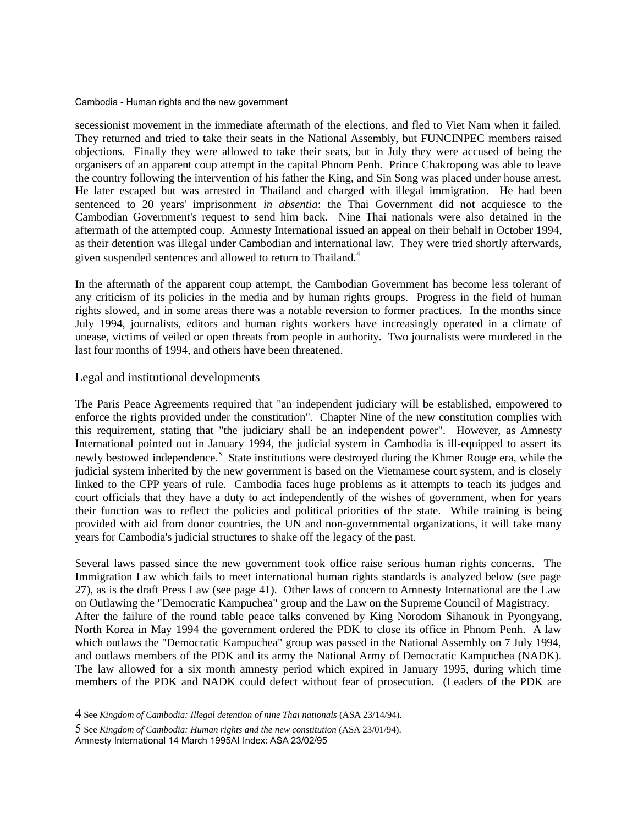secessionist movement in the immediate aftermath of the elections, and fled to Viet Nam when it failed. They returned and tried to take their seats in the National Assembly, but FUNCINPEC members raised objections. Finally they were allowed to take their seats, but in July they were accused of being the organisers of an apparent coup attempt in the capital Phnom Penh. Prince Chakropong was able to leave the country following the intervention of his father the King, and Sin Song was placed under house arrest. He later escaped but was arrested in Thailand and charged with illegal immigration. He had been sentenced to 20 years' imprisonment *in absentia*: the Thai Government did not acquiesce to the Cambodian Government's request to send him back. Nine Thai nationals were also detained in the aftermath of the attempted coup. Amnesty International issued an appeal on their behalf in October 1994, as their detention was illegal under Cambodian and international law. They were tried shortly afterwards, given suspended sentences and allowed to return to Thailand.<sup>[4](#page-4-0)</sup>

In the aftermath of the apparent coup attempt, the Cambodian Government has become less tolerant of any criticism of its policies in the media and by human rights groups. Progress in the field of human rights slowed, and in some areas there was a notable reversion to former practices. In the months since July 1994, journalists, editors and human rights workers have increasingly operated in a climate of unease, victims of veiled or open threats from people in authority. Two journalists were murdered in the last four months of 1994, and others have been threatened.

## Legal and institutional developments

The Paris Peace Agreements required that "an independent judiciary will be established, empowered to enforce the rights provided under the constitution". Chapter Nine of the new constitution complies with this requirement, stating that "the judiciary shall be an independent power". However, as Amnesty International pointed out in January 1994, the judicial system in Cambodia is ill-equipped to assert its newly bestowed independence.<sup>[5](#page-4-1)</sup> State institutions were destroyed during the Khmer Rouge era, while the judicial system inherited by the new government is based on the Vietnamese court system, and is closely linked to the CPP years of rule. Cambodia faces huge problems as it attempts to teach its judges and court officials that they have a duty to act independently of the wishes of government, when for years their function was to reflect the policies and political priorities of the state. While training is being provided with aid from donor countries, the UN and non-governmental organizations, it will take many years for Cambodia's judicial structures to shake off the legacy of the past.

Several laws passed since the new government took office raise serious human rights concerns. The Immigration Law which fails to meet international human rights standards is analyzed below (see page 27), as is the draft Press Law (see page 41). Other laws of concern to Amnesty International are the Law on Outlawing the "Democratic Kampuchea" group and the Law on the Supreme Council of Magistracy. After the failure of the round table peace talks convened by King Norodom Sihanouk in Pyongyang, North Korea in May 1994 the government ordered the PDK to close its office in Phnom Penh. A law which outlaws the "Democratic Kampuchea" group was passed in the National Assembly on 7 July 1994, and outlaws members of the PDK and its army the National Army of Democratic Kampuchea (NADK). The law allowed for a six month amnesty period which expired in January 1995, during which time members of the PDK and NADK could defect without fear of prosecution. (Leaders of the PDK are

<span id="page-4-0"></span><sup>4</sup> See *Kingdom of Cambodia: Illegal detention of nine Thai nationals* (ASA 23/14/94).

<span id="page-4-1"></span><sup>5</sup> See *Kingdom of Cambodia: Human rights and the new constitution* (ASA 23/01/94). Amnesty International 14 March 1995AI Index: ASA 23/02/95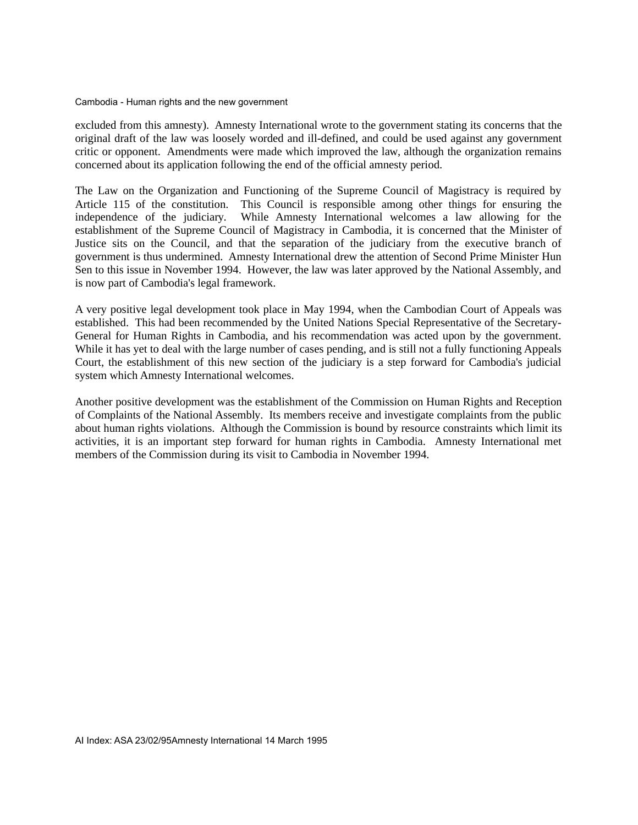excluded from this amnesty). Amnesty International wrote to the government stating its concerns that the original draft of the law was loosely worded and ill-defined, and could be used against any government critic or opponent. Amendments were made which improved the law, although the organization remains concerned about its application following the end of the official amnesty period.

The Law on the Organization and Functioning of the Supreme Council of Magistracy is required by Article 115 of the constitution. This Council is responsible among other things for ensuring the independence of the judiciary. While Amnesty International welcomes a law allowing for the establishment of the Supreme Council of Magistracy in Cambodia, it is concerned that the Minister of Justice sits on the Council, and that the separation of the judiciary from the executive branch of government is thus undermined. Amnesty International drew the attention of Second Prime Minister Hun Sen to this issue in November 1994. However, the law was later approved by the National Assembly, and is now part of Cambodia's legal framework.

A very positive legal development took place in May 1994, when the Cambodian Court of Appeals was established. This had been recommended by the United Nations Special Representative of the Secretary-General for Human Rights in Cambodia, and his recommendation was acted upon by the government. While it has yet to deal with the large number of cases pending, and is still not a fully functioning Appeals Court, the establishment of this new section of the judiciary is a step forward for Cambodia's judicial system which Amnesty International welcomes.

Another positive development was the establishment of the Commission on Human Rights and Reception of Complaints of the National Assembly. Its members receive and investigate complaints from the public about human rights violations. Although the Commission is bound by resource constraints which limit its activities, it is an important step forward for human rights in Cambodia. Amnesty International met members of the Commission during its visit to Cambodia in November 1994.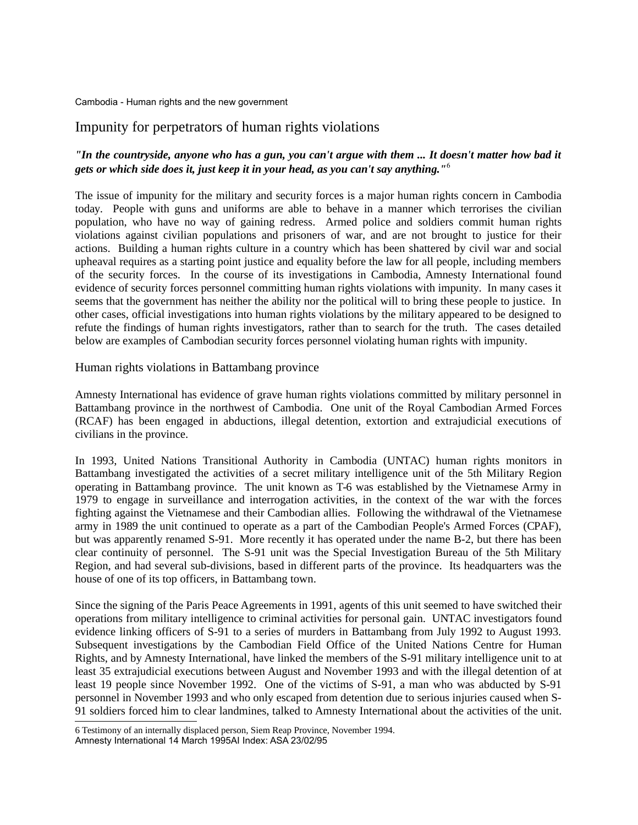# Impunity for perpetrators of human rights violations

# *"In the countryside, anyone who has a gun, you can't argue with them ... It doesn't matter how bad it gets or which side does it, just keep it in your head, as you can't say anything."*[6](#page-6-0)

The issue of impunity for the military and security forces is a major human rights concern in Cambodia today. People with guns and uniforms are able to behave in a manner which terrorises the civilian population, who have no way of gaining redress. Armed police and soldiers commit human rights violations against civilian populations and prisoners of war, and are not brought to justice for their actions. Building a human rights culture in a country which has been shattered by civil war and social upheaval requires as a starting point justice and equality before the law for all people, including members of the security forces. In the course of its investigations in Cambodia, Amnesty International found evidence of security forces personnel committing human rights violations with impunity. In many cases it seems that the government has neither the ability nor the political will to bring these people to justice. In other cases, official investigations into human rights violations by the military appeared to be designed to refute the findings of human rights investigators, rather than to search for the truth. The cases detailed below are examples of Cambodian security forces personnel violating human rights with impunity.

## Human rights violations in Battambang province

Amnesty International has evidence of grave human rights violations committed by military personnel in Battambang province in the northwest of Cambodia. One unit of the Royal Cambodian Armed Forces (RCAF) has been engaged in abductions, illegal detention, extortion and extrajudicial executions of civilians in the province.

In 1993, United Nations Transitional Authority in Cambodia (UNTAC) human rights monitors in Battambang investigated the activities of a secret military intelligence unit of the 5th Military Region operating in Battambang province. The unit known as T-6 was established by the Vietnamese Army in 1979 to engage in surveillance and interrogation activities, in the context of the war with the forces fighting against the Vietnamese and their Cambodian allies. Following the withdrawal of the Vietnamese army in 1989 the unit continued to operate as a part of the Cambodian People's Armed Forces (CPAF), but was apparently renamed S-91. More recently it has operated under the name B-2, but there has been clear continuity of personnel. The S-91 unit was the Special Investigation Bureau of the 5th Military Region, and had several sub-divisions, based in different parts of the province. Its headquarters was the house of one of its top officers, in Battambang town.

Since the signing of the Paris Peace Agreements in 1991, agents of this unit seemed to have switched their operations from military intelligence to criminal activities for personal gain. UNTAC investigators found evidence linking officers of S-91 to a series of murders in Battambang from July 1992 to August 1993. Subsequent investigations by the Cambodian Field Office of the United Nations Centre for Human Rights, and by Amnesty International, have linked the members of the S-91 military intelligence unit to at least 35 extrajudicial executions between August and November 1993 and with the illegal detention of at least 19 people since November 1992. One of the victims of S-91, a man who was abducted by S-91 personnel in November 1993 and who only escaped from detention due to serious injuries caused when S-91 soldiers forced him to clear landmines, talked to Amnesty International about the activities of the unit.

<span id="page-6-0"></span><sup>6</sup> Testimony of an internally displaced person, Siem Reap Province, November 1994.

Amnesty International 14 March 1995AI Index: ASA 23/02/95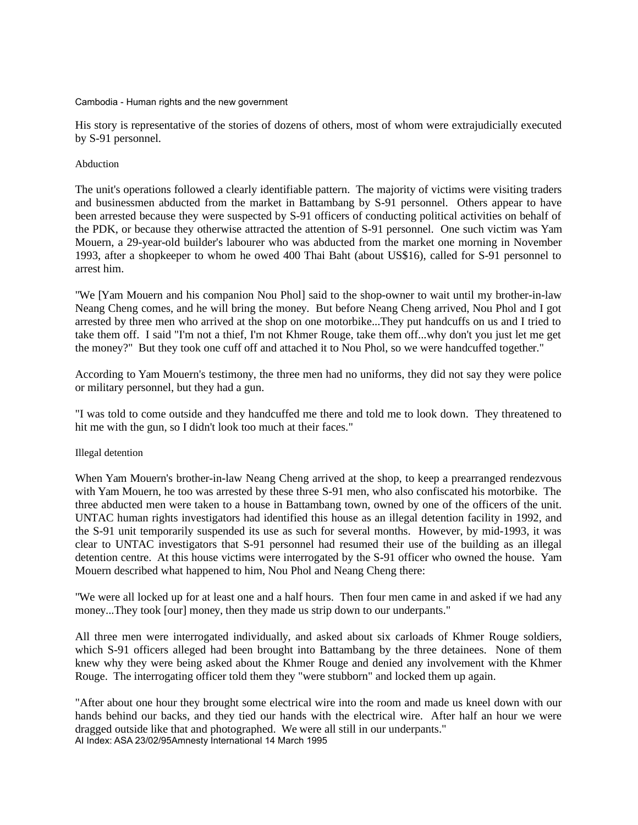His story is representative of the stories of dozens of others, most of whom were extrajudicially executed by S-91 personnel.

## Abduction

The unit's operations followed a clearly identifiable pattern. The majority of victims were visiting traders and businessmen abducted from the market in Battambang by S-91 personnel. Others appear to have been arrested because they were suspected by S-91 officers of conducting political activities on behalf of the PDK, or because they otherwise attracted the attention of S-91 personnel. One such victim was Yam Mouern, a 29-year-old builder's labourer who was abducted from the market one morning in November 1993, after a shopkeeper to whom he owed 400 Thai Baht (about US\$16), called for S-91 personnel to arrest him.

"We [Yam Mouern and his companion Nou Phol] said to the shop-owner to wait until my brother-in-law Neang Cheng comes, and he will bring the money. But before Neang Cheng arrived, Nou Phol and I got arrested by three men who arrived at the shop on one motorbike...They put handcuffs on us and I tried to take them off. I said "I'm not a thief, I'm not Khmer Rouge, take them off...why don't you just let me get the money?" But they took one cuff off and attached it to Nou Phol, so we were handcuffed together."

According to Yam Mouern's testimony, the three men had no uniforms, they did not say they were police or military personnel, but they had a gun.

"I was told to come outside and they handcuffed me there and told me to look down. They threatened to hit me with the gun, so I didn't look too much at their faces."

## Illegal detention

When Yam Mouern's brother-in-law Neang Cheng arrived at the shop, to keep a prearranged rendezvous with Yam Mouern, he too was arrested by these three S-91 men, who also confiscated his motorbike. The three abducted men were taken to a house in Battambang town, owned by one of the officers of the unit. UNTAC human rights investigators had identified this house as an illegal detention facility in 1992, and the S-91 unit temporarily suspended its use as such for several months. However, by mid-1993, it was clear to UNTAC investigators that S-91 personnel had resumed their use of the building as an illegal detention centre. At this house victims were interrogated by the S-91 officer who owned the house. Yam Mouern described what happened to him, Nou Phol and Neang Cheng there:

"We were all locked up for at least one and a half hours. Then four men came in and asked if we had any money...They took [our] money, then they made us strip down to our underpants."

All three men were interrogated individually, and asked about six carloads of Khmer Rouge soldiers, which S-91 officers alleged had been brought into Battambang by the three detainees. None of them knew why they were being asked about the Khmer Rouge and denied any involvement with the Khmer Rouge. The interrogating officer told them they "were stubborn" and locked them up again.

"After about one hour they brought some electrical wire into the room and made us kneel down with our hands behind our backs, and they tied our hands with the electrical wire. After half an hour we were dragged outside like that and photographed. We were all still in our underpants." AI Index: ASA 23/02/95Amnesty International 14 March 1995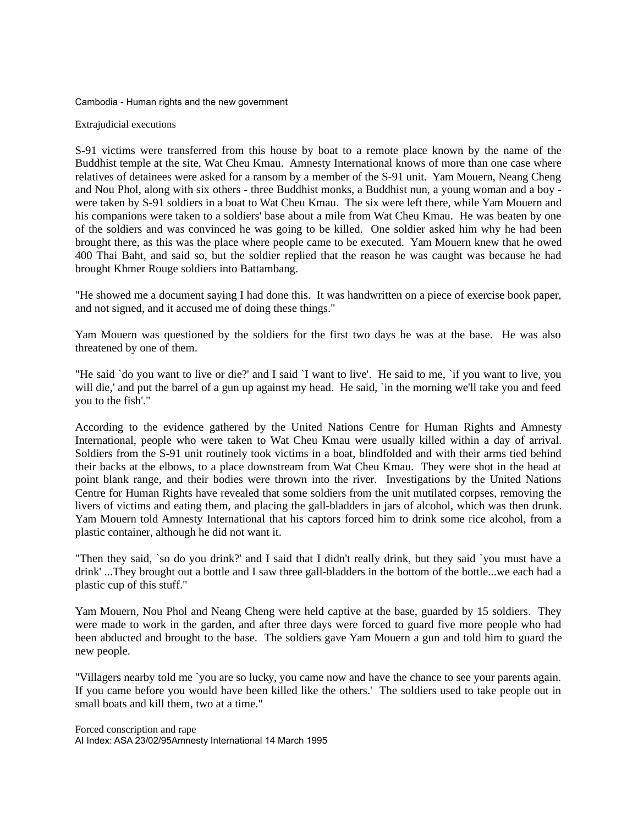#### Extrajudicial executions

S-91 victims were transferred from this house by boat to a remote place known by the name of the Buddhist temple at the site, Wat Cheu Kmau. Amnesty International knows of more than one case where relatives of detainees were asked for a ransom by a member of the S-91 unit. Yam Mouern, Neang Cheng and Nou Phol, along with six others - three Buddhist monks, a Buddhist nun, a young woman and a boy were taken by S-91 soldiers in a boat to Wat Cheu Kmau. The six were left there, while Yam Mouern and his companions were taken to a soldiers' base about a mile from Wat Cheu Kmau. He was beaten by one of the soldiers and was convinced he was going to be killed. One soldier asked him why he had been brought there, as this was the place where people came to be executed. Yam Mouern knew that he owed 400 Thai Baht, and said so, but the soldier replied that the reason he was caught was because he had brought Khmer Rouge soldiers into Battambang.

"He showed me a document saying I had done this. It was handwritten on a piece of exercise book paper, and not signed, and it accused me of doing these things."

Yam Mouern was questioned by the soldiers for the first two days he was at the base. He was also threatened by one of them.

"He said `do you want to live or die?' and I said `I want to live'. He said to me, `if you want to live, you will die,' and put the barrel of a gun up against my head. He said, 'in the morning we'll take you and feed you to the fish'."

According to the evidence gathered by the United Nations Centre for Human Rights and Amnesty International, people who were taken to Wat Cheu Kmau were usually killed within a day of arrival. Soldiers from the S-91 unit routinely took victims in a boat, blindfolded and with their arms tied behind their backs at the elbows, to a place downstream from Wat Cheu Kmau. They were shot in the head at point blank range, and their bodies were thrown into the river. Investigations by the United Nations Centre for Human Rights have revealed that some soldiers from the unit mutilated corpses, removing the livers of victims and eating them, and placing the gall-bladders in jars of alcohol, which was then drunk. Yam Mouern told Amnesty International that his captors forced him to drink some rice alcohol, from a plastic container, although he did not want it.

"Then they said, `so do you drink?' and I said that I didn't really drink, but they said `you must have a drink' ...They brought out a bottle and I saw three gall-bladders in the bottom of the bottle...we each had a plastic cup of this stuff."

Yam Mouern, Nou Phol and Neang Cheng were held captive at the base, guarded by 15 soldiers. They were made to work in the garden, and after three days were forced to guard five more people who had been abducted and brought to the base. The soldiers gave Yam Mouern a gun and told him to guard the new people.

"Villagers nearby told me `you are so lucky, you came now and have the chance to see your parents again. If you came before you would have been killed like the others.' The soldiers used to take people out in small boats and kill them, two at a time."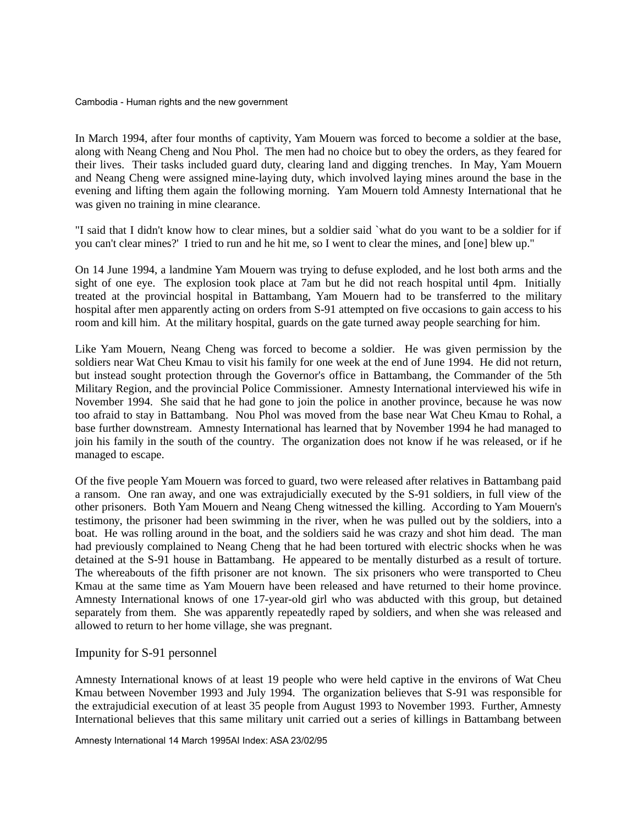In March 1994, after four months of captivity, Yam Mouern was forced to become a soldier at the base, along with Neang Cheng and Nou Phol. The men had no choice but to obey the orders, as they feared for their lives. Their tasks included guard duty, clearing land and digging trenches. In May, Yam Mouern and Neang Cheng were assigned mine-laying duty, which involved laying mines around the base in the evening and lifting them again the following morning. Yam Mouern told Amnesty International that he was given no training in mine clearance.

"I said that I didn't know how to clear mines, but a soldier said `what do you want to be a soldier for if you can't clear mines?' I tried to run and he hit me, so I went to clear the mines, and [one] blew up."

On 14 June 1994, a landmine Yam Mouern was trying to defuse exploded, and he lost both arms and the sight of one eye. The explosion took place at 7am but he did not reach hospital until 4pm. Initially treated at the provincial hospital in Battambang, Yam Mouern had to be transferred to the military hospital after men apparently acting on orders from S-91 attempted on five occasions to gain access to his room and kill him. At the military hospital, guards on the gate turned away people searching for him.

Like Yam Mouern, Neang Cheng was forced to become a soldier. He was given permission by the soldiers near Wat Cheu Kmau to visit his family for one week at the end of June 1994. He did not return, but instead sought protection through the Governor's office in Battambang, the Commander of the 5th Military Region, and the provincial Police Commissioner. Amnesty International interviewed his wife in November 1994. She said that he had gone to join the police in another province, because he was now too afraid to stay in Battambang. Nou Phol was moved from the base near Wat Cheu Kmau to Rohal, a base further downstream. Amnesty International has learned that by November 1994 he had managed to join his family in the south of the country. The organization does not know if he was released, or if he managed to escape.

Of the five people Yam Mouern was forced to guard, two were released after relatives in Battambang paid a ransom. One ran away, and one was extrajudicially executed by the S-91 soldiers, in full view of the other prisoners. Both Yam Mouern and Neang Cheng witnessed the killing. According to Yam Mouern's testimony, the prisoner had been swimming in the river, when he was pulled out by the soldiers, into a boat. He was rolling around in the boat, and the soldiers said he was crazy and shot him dead. The man had previously complained to Neang Cheng that he had been tortured with electric shocks when he was detained at the S-91 house in Battambang. He appeared to be mentally disturbed as a result of torture. The whereabouts of the fifth prisoner are not known. The six prisoners who were transported to Cheu Kmau at the same time as Yam Mouern have been released and have returned to their home province. Amnesty International knows of one 17-year-old girl who was abducted with this group, but detained separately from them. She was apparently repeatedly raped by soldiers, and when she was released and allowed to return to her home village, she was pregnant.

## Impunity for S-91 personnel

Amnesty International knows of at least 19 people who were held captive in the environs of Wat Cheu Kmau between November 1993 and July 1994. The organization believes that S-91 was responsible for the extrajudicial execution of at least 35 people from August 1993 to November 1993. Further, Amnesty International believes that this same military unit carried out a series of killings in Battambang between

Amnesty International 14 March 1995AI Index: ASA 23/02/95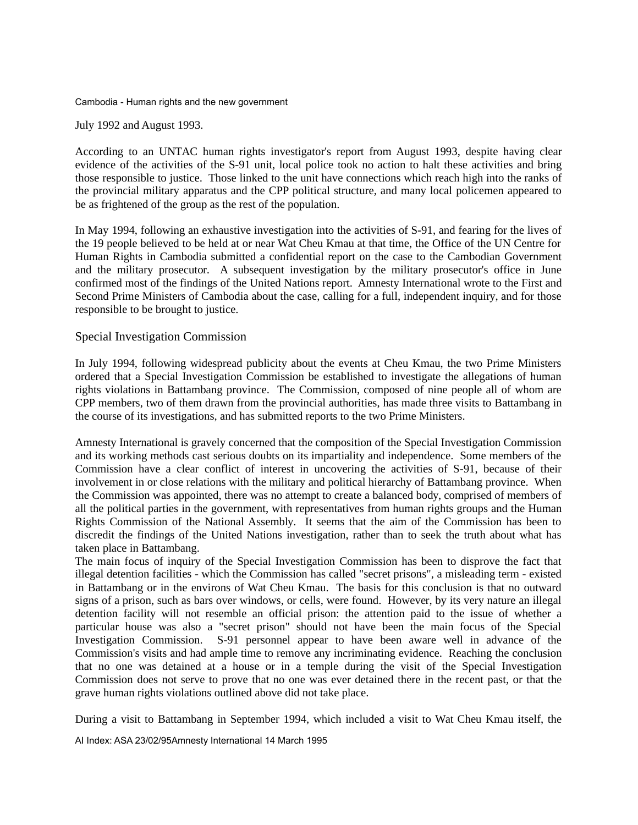July 1992 and August 1993.

According to an UNTAC human rights investigator's report from August 1993, despite having clear evidence of the activities of the S-91 unit, local police took no action to halt these activities and bring those responsible to justice. Those linked to the unit have connections which reach high into the ranks of the provincial military apparatus and the CPP political structure, and many local policemen appeared to be as frightened of the group as the rest of the population.

In May 1994, following an exhaustive investigation into the activities of S-91, and fearing for the lives of the 19 people believed to be held at or near Wat Cheu Kmau at that time, the Office of the UN Centre for Human Rights in Cambodia submitted a confidential report on the case to the Cambodian Government and the military prosecutor. A subsequent investigation by the military prosecutor's office in June confirmed most of the findings of the United Nations report. Amnesty International wrote to the First and Second Prime Ministers of Cambodia about the case, calling for a full, independent inquiry, and for those responsible to be brought to justice.

## Special Investigation Commission

In July 1994, following widespread publicity about the events at Cheu Kmau, the two Prime Ministers ordered that a Special Investigation Commission be established to investigate the allegations of human rights violations in Battambang province. The Commission, composed of nine people all of whom are CPP members, two of them drawn from the provincial authorities, has made three visits to Battambang in the course of its investigations, and has submitted reports to the two Prime Ministers.

Amnesty International is gravely concerned that the composition of the Special Investigation Commission and its working methods cast serious doubts on its impartiality and independence. Some members of the Commission have a clear conflict of interest in uncovering the activities of S-91, because of their involvement in or close relations with the military and political hierarchy of Battambang province. When the Commission was appointed, there was no attempt to create a balanced body, comprised of members of all the political parties in the government, with representatives from human rights groups and the Human Rights Commission of the National Assembly. It seems that the aim of the Commission has been to discredit the findings of the United Nations investigation, rather than to seek the truth about what has taken place in Battambang.

The main focus of inquiry of the Special Investigation Commission has been to disprove the fact that illegal detention facilities - which the Commission has called "secret prisons", a misleading term - existed in Battambang or in the environs of Wat Cheu Kmau. The basis for this conclusion is that no outward signs of a prison, such as bars over windows, or cells, were found. However, by its very nature an illegal detention facility will not resemble an official prison: the attention paid to the issue of whether a particular house was also a "secret prison" should not have been the main focus of the Special Investigation Commission. S-91 personnel appear to have been aware well in advance of the Commission's visits and had ample time to remove any incriminating evidence. Reaching the conclusion that no one was detained at a house or in a temple during the visit of the Special Investigation Commission does not serve to prove that no one was ever detained there in the recent past, or that the grave human rights violations outlined above did not take place.

During a visit to Battambang in September 1994, which included a visit to Wat Cheu Kmau itself, the

AI Index: ASA 23/02/95Amnesty International 14 March 1995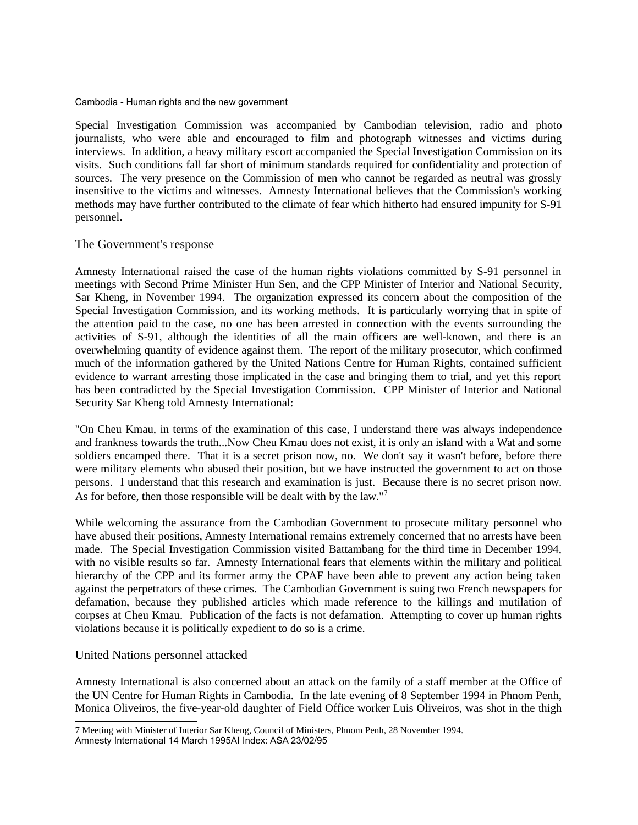Special Investigation Commission was accompanied by Cambodian television, radio and photo journalists, who were able and encouraged to film and photograph witnesses and victims during interviews. In addition, a heavy military escort accompanied the Special Investigation Commission on its visits. Such conditions fall far short of minimum standards required for confidentiality and protection of sources. The very presence on the Commission of men who cannot be regarded as neutral was grossly insensitive to the victims and witnesses. Amnesty International believes that the Commission's working methods may have further contributed to the climate of fear which hitherto had ensured impunity for S-91 personnel.

## The Government's response

Amnesty International raised the case of the human rights violations committed by S-91 personnel in meetings with Second Prime Minister Hun Sen, and the CPP Minister of Interior and National Security, Sar Kheng, in November 1994. The organization expressed its concern about the composition of the Special Investigation Commission, and its working methods. It is particularly worrying that in spite of the attention paid to the case, no one has been arrested in connection with the events surrounding the activities of S-91, although the identities of all the main officers are well-known, and there is an overwhelming quantity of evidence against them. The report of the military prosecutor, which confirmed much of the information gathered by the United Nations Centre for Human Rights, contained sufficient evidence to warrant arresting those implicated in the case and bringing them to trial, and yet this report has been contradicted by the Special Investigation Commission. CPP Minister of Interior and National Security Sar Kheng told Amnesty International:

"On Cheu Kmau, in terms of the examination of this case, I understand there was always independence and frankness towards the truth...Now Cheu Kmau does not exist, it is only an island with a Wat and some soldiers encamped there. That it is a secret prison now, no. We don't say it wasn't before, before there were military elements who abused their position, but we have instructed the government to act on those persons. I understand that this research and examination is just. Because there is no secret prison now. As for before, then those responsible will be dealt with by the law."<sup>[7](#page-12-0)</sup>

While welcoming the assurance from the Cambodian Government to prosecute military personnel who have abused their positions, Amnesty International remains extremely concerned that no arrests have been made. The Special Investigation Commission visited Battambang for the third time in December 1994, with no visible results so far. Amnesty International fears that elements within the military and political hierarchy of the CPP and its former army the CPAF have been able to prevent any action being taken against the perpetrators of these crimes. The Cambodian Government is suing two French newspapers for defamation, because they published articles which made reference to the killings and mutilation of corpses at Cheu Kmau. Publication of the facts is not defamation. Attempting to cover up human rights violations because it is politically expedient to do so is a crime.

## United Nations personnel attacked

Amnesty International is also concerned about an attack on the family of a staff member at the Office of the UN Centre for Human Rights in Cambodia. In the late evening of 8 September 1994 in Phnom Penh, Monica Oliveiros, the five-year-old daughter of Field Office worker Luis Oliveiros, was shot in the thigh

<span id="page-12-0"></span><sup>7</sup> Meeting with Minister of Interior Sar Kheng, Council of Ministers, Phnom Penh, 28 November 1994.

Amnesty International 14 March 1995AI Index: ASA 23/02/95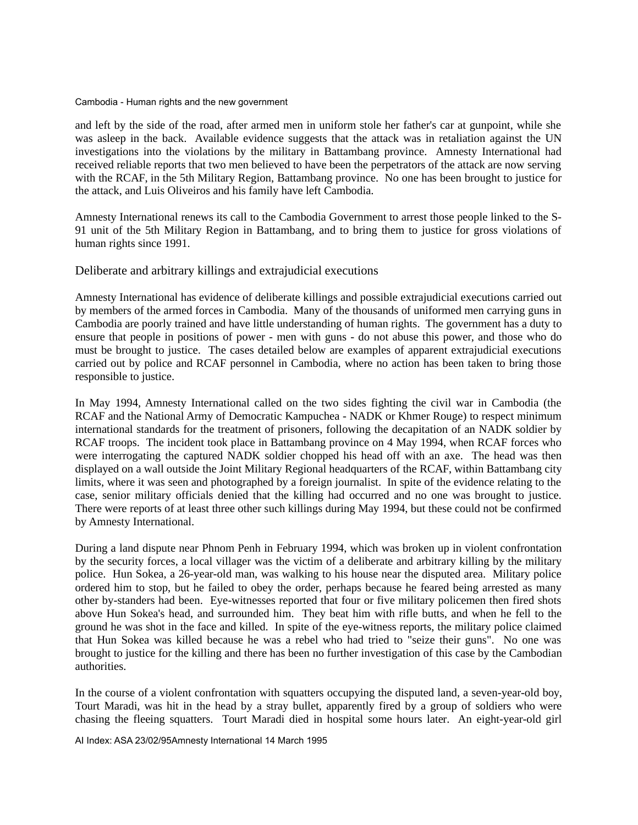and left by the side of the road, after armed men in uniform stole her father's car at gunpoint, while she was asleep in the back. Available evidence suggests that the attack was in retaliation against the UN investigations into the violations by the military in Battambang province. Amnesty International had received reliable reports that two men believed to have been the perpetrators of the attack are now serving with the RCAF, in the 5th Military Region, Battambang province. No one has been brought to justice for the attack, and Luis Oliveiros and his family have left Cambodia.

Amnesty International renews its call to the Cambodia Government to arrest those people linked to the S-91 unit of the 5th Military Region in Battambang, and to bring them to justice for gross violations of human rights since 1991.

Deliberate and arbitrary killings and extrajudicial executions

Amnesty International has evidence of deliberate killings and possible extrajudicial executions carried out by members of the armed forces in Cambodia. Many of the thousands of uniformed men carrying guns in Cambodia are poorly trained and have little understanding of human rights. The government has a duty to ensure that people in positions of power - men with guns - do not abuse this power, and those who do must be brought to justice. The cases detailed below are examples of apparent extrajudicial executions carried out by police and RCAF personnel in Cambodia, where no action has been taken to bring those responsible to justice.

In May 1994, Amnesty International called on the two sides fighting the civil war in Cambodia (the RCAF and the National Army of Democratic Kampuchea - NADK or Khmer Rouge) to respect minimum international standards for the treatment of prisoners, following the decapitation of an NADK soldier by RCAF troops. The incident took place in Battambang province on 4 May 1994, when RCAF forces who were interrogating the captured NADK soldier chopped his head off with an axe. The head was then displayed on a wall outside the Joint Military Regional headquarters of the RCAF, within Battambang city limits, where it was seen and photographed by a foreign journalist. In spite of the evidence relating to the case, senior military officials denied that the killing had occurred and no one was brought to justice. There were reports of at least three other such killings during May 1994, but these could not be confirmed by Amnesty International.

During a land dispute near Phnom Penh in February 1994, which was broken up in violent confrontation by the security forces, a local villager was the victim of a deliberate and arbitrary killing by the military police. Hun Sokea, a 26-year-old man, was walking to his house near the disputed area. Military police ordered him to stop, but he failed to obey the order, perhaps because he feared being arrested as many other by-standers had been. Eye-witnesses reported that four or five military policemen then fired shots above Hun Sokea's head, and surrounded him. They beat him with rifle butts, and when he fell to the ground he was shot in the face and killed. In spite of the eye-witness reports, the military police claimed that Hun Sokea was killed because he was a rebel who had tried to "seize their guns". No one was brought to justice for the killing and there has been no further investigation of this case by the Cambodian authorities.

In the course of a violent confrontation with squatters occupying the disputed land, a seven-year-old boy, Tourt Maradi, was hit in the head by a stray bullet, apparently fired by a group of soldiers who were chasing the fleeing squatters. Tourt Maradi died in hospital some hours later. An eight-year-old girl

AI Index: ASA 23/02/95Amnesty International 14 March 1995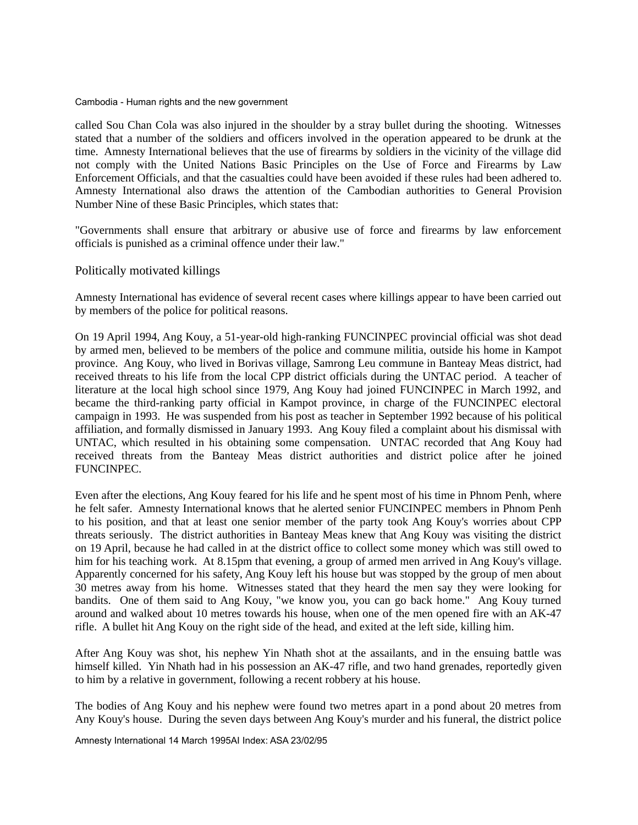called Sou Chan Cola was also injured in the shoulder by a stray bullet during the shooting. Witnesses stated that a number of the soldiers and officers involved in the operation appeared to be drunk at the time. Amnesty International believes that the use of firearms by soldiers in the vicinity of the village did not comply with the United Nations Basic Principles on the Use of Force and Firearms by Law Enforcement Officials, and that the casualties could have been avoided if these rules had been adhered to. Amnesty International also draws the attention of the Cambodian authorities to General Provision Number Nine of these Basic Principles, which states that:

"Governments shall ensure that arbitrary or abusive use of force and firearms by law enforcement officials is punished as a criminal offence under their law."

## Politically motivated killings

Amnesty International has evidence of several recent cases where killings appear to have been carried out by members of the police for political reasons.

On 19 April 1994, Ang Kouy, a 51-year-old high-ranking FUNCINPEC provincial official was shot dead by armed men, believed to be members of the police and commune militia, outside his home in Kampot province. Ang Kouy, who lived in Borivas village, Samrong Leu commune in Banteay Meas district, had received threats to his life from the local CPP district officials during the UNTAC period. A teacher of literature at the local high school since 1979, Ang Kouy had joined FUNCINPEC in March 1992, and became the third-ranking party official in Kampot province, in charge of the FUNCINPEC electoral campaign in 1993. He was suspended from his post as teacher in September 1992 because of his political affiliation, and formally dismissed in January 1993. Ang Kouy filed a complaint about his dismissal with UNTAC, which resulted in his obtaining some compensation. UNTAC recorded that Ang Kouy had received threats from the Banteay Meas district authorities and district police after he joined FUNCINPEC.

Even after the elections, Ang Kouy feared for his life and he spent most of his time in Phnom Penh, where he felt safer. Amnesty International knows that he alerted senior FUNCINPEC members in Phnom Penh to his position, and that at least one senior member of the party took Ang Kouy's worries about CPP threats seriously. The district authorities in Banteay Meas knew that Ang Kouy was visiting the district on 19 April, because he had called in at the district office to collect some money which was still owed to him for his teaching work. At 8.15pm that evening, a group of armed men arrived in Ang Kouy's village. Apparently concerned for his safety, Ang Kouy left his house but was stopped by the group of men about 30 metres away from his home. Witnesses stated that they heard the men say they were looking for bandits. One of them said to Ang Kouy, "we know you, you can go back home." Ang Kouy turned around and walked about 10 metres towards his house, when one of the men opened fire with an AK-47 rifle. A bullet hit Ang Kouy on the right side of the head, and exited at the left side, killing him.

After Ang Kouy was shot, his nephew Yin Nhath shot at the assailants, and in the ensuing battle was himself killed. Yin Nhath had in his possession an AK-47 rifle, and two hand grenades, reportedly given to him by a relative in government, following a recent robbery at his house.

The bodies of Ang Kouy and his nephew were found two metres apart in a pond about 20 metres from Any Kouy's house. During the seven days between Ang Kouy's murder and his funeral, the district police

Amnesty International 14 March 1995AI Index: ASA 23/02/95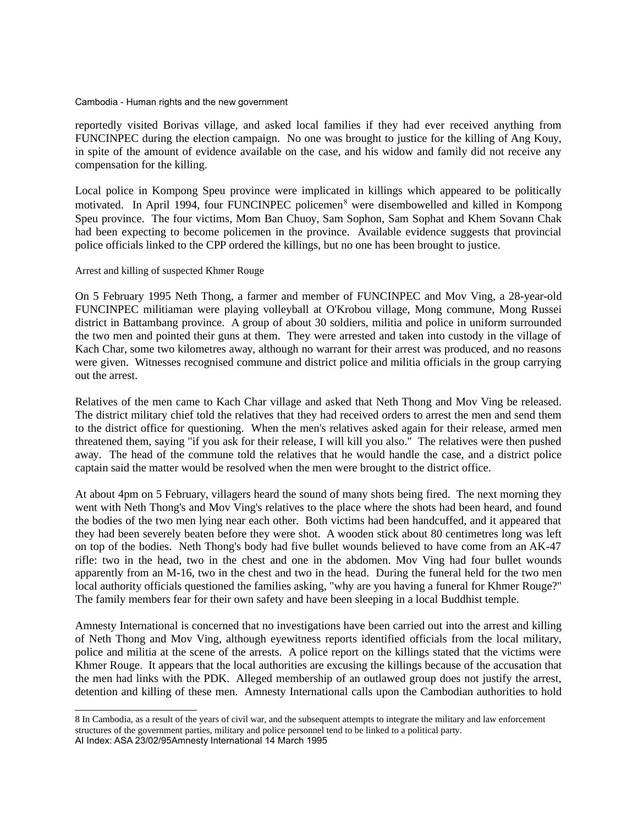reportedly visited Borivas village, and asked local families if they had ever received anything from FUNCINPEC during the election campaign. No one was brought to justice for the killing of Ang Kouy, in spite of the amount of evidence available on the case, and his widow and family did not receive any compensation for the killing.

Local police in Kompong Speu province were implicated in killings which appeared to be politically motivated. In April 1994, four FUNCINPEC policemen<sup>[8](#page-15-0)</sup> were disembowelled and killed in Kompong Speu province. The four victims, Mom Ban Chuoy, Sam Sophon, Sam Sophat and Khem Sovann Chak had been expecting to become policemen in the province. Available evidence suggests that provincial police officials linked to the CPP ordered the killings, but no one has been brought to justice.

## Arrest and killing of suspected Khmer Rouge

On 5 February 1995 Neth Thong, a farmer and member of FUNCINPEC and Mov Ving, a 28-year-old FUNCINPEC militiaman were playing volleyball at O'Krobou village, Mong commune, Mong Russei district in Battambang province. A group of about 30 soldiers, militia and police in uniform surrounded the two men and pointed their guns at them. They were arrested and taken into custody in the village of Kach Char, some two kilometres away, although no warrant for their arrest was produced, and no reasons were given. Witnesses recognised commune and district police and militia officials in the group carrying out the arrest.

Relatives of the men came to Kach Char village and asked that Neth Thong and Mov Ving be released. The district military chief told the relatives that they had received orders to arrest the men and send them to the district office for questioning. When the men's relatives asked again for their release, armed men threatened them, saying "if you ask for their release, I will kill you also." The relatives were then pushed away. The head of the commune told the relatives that he would handle the case, and a district police captain said the matter would be resolved when the men were brought to the district office.

At about 4pm on 5 February, villagers heard the sound of many shots being fired. The next morning they went with Neth Thong's and Mov Ving's relatives to the place where the shots had been heard, and found the bodies of the two men lying near each other. Both victims had been handcuffed, and it appeared that they had been severely beaten before they were shot. A wooden stick about 80 centimetres long was left on top of the bodies. Neth Thong's body had five bullet wounds believed to have come from an AK-47 rifle: two in the head, two in the chest and one in the abdomen. Mov Ving had four bullet wounds apparently from an M-16, two in the chest and two in the head. During the funeral held for the two men local authority officials questioned the families asking, "why are you having a funeral for Khmer Rouge?" The family members fear for their own safety and have been sleeping in a local Buddhist temple.

Amnesty International is concerned that no investigations have been carried out into the arrest and killing of Neth Thong and Mov Ving, although eyewitness reports identified officials from the local military, police and militia at the scene of the arrests. A police report on the killings stated that the victims were Khmer Rouge. It appears that the local authorities are excusing the killings because of the accusation that the men had links with the PDK. Alleged membership of an outlawed group does not justify the arrest, detention and killing of these men. Amnesty International calls upon the Cambodian authorities to hold

<span id="page-15-0"></span><sup>8</sup> In Cambodia, as a result of the years of civil war, and the subsequent attempts to integrate the military and law enforcement structures of the government parties, military and police personnel tend to be linked to a political party. AI Index: ASA 23/02/95Amnesty International 14 March 1995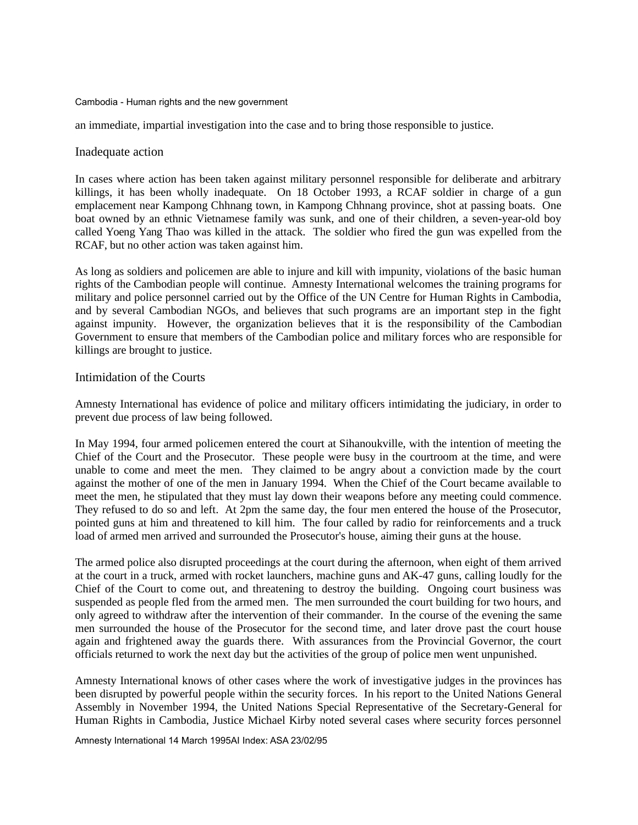an immediate, impartial investigation into the case and to bring those responsible to justice.

## Inadequate action

In cases where action has been taken against military personnel responsible for deliberate and arbitrary killings, it has been wholly inadequate. On 18 October 1993, a RCAF soldier in charge of a gun emplacement near Kampong Chhnang town, in Kampong Chhnang province, shot at passing boats. One boat owned by an ethnic Vietnamese family was sunk, and one of their children, a seven-year-old boy called Yoeng Yang Thao was killed in the attack. The soldier who fired the gun was expelled from the RCAF, but no other action was taken against him.

As long as soldiers and policemen are able to injure and kill with impunity, violations of the basic human rights of the Cambodian people will continue. Amnesty International welcomes the training programs for military and police personnel carried out by the Office of the UN Centre for Human Rights in Cambodia, and by several Cambodian NGOs, and believes that such programs are an important step in the fight against impunity. However, the organization believes that it is the responsibility of the Cambodian Government to ensure that members of the Cambodian police and military forces who are responsible for killings are brought to justice.

## Intimidation of the Courts

Amnesty International has evidence of police and military officers intimidating the judiciary, in order to prevent due process of law being followed.

In May 1994, four armed policemen entered the court at Sihanoukville, with the intention of meeting the Chief of the Court and the Prosecutor. These people were busy in the courtroom at the time, and were unable to come and meet the men. They claimed to be angry about a conviction made by the court against the mother of one of the men in January 1994. When the Chief of the Court became available to meet the men, he stipulated that they must lay down their weapons before any meeting could commence. They refused to do so and left. At 2pm the same day, the four men entered the house of the Prosecutor, pointed guns at him and threatened to kill him. The four called by radio for reinforcements and a truck load of armed men arrived and surrounded the Prosecutor's house, aiming their guns at the house.

The armed police also disrupted proceedings at the court during the afternoon, when eight of them arrived at the court in a truck, armed with rocket launchers, machine guns and AK-47 guns, calling loudly for the Chief of the Court to come out, and threatening to destroy the building. Ongoing court business was suspended as people fled from the armed men. The men surrounded the court building for two hours, and only agreed to withdraw after the intervention of their commander. In the course of the evening the same men surrounded the house of the Prosecutor for the second time, and later drove past the court house again and frightened away the guards there. With assurances from the Provincial Governor, the court officials returned to work the next day but the activities of the group of police men went unpunished.

Amnesty International knows of other cases where the work of investigative judges in the provinces has been disrupted by powerful people within the security forces. In his report to the United Nations General Assembly in November 1994, the United Nations Special Representative of the Secretary-General for Human Rights in Cambodia, Justice Michael Kirby noted several cases where security forces personnel

Amnesty International 14 March 1995AI Index: ASA 23/02/95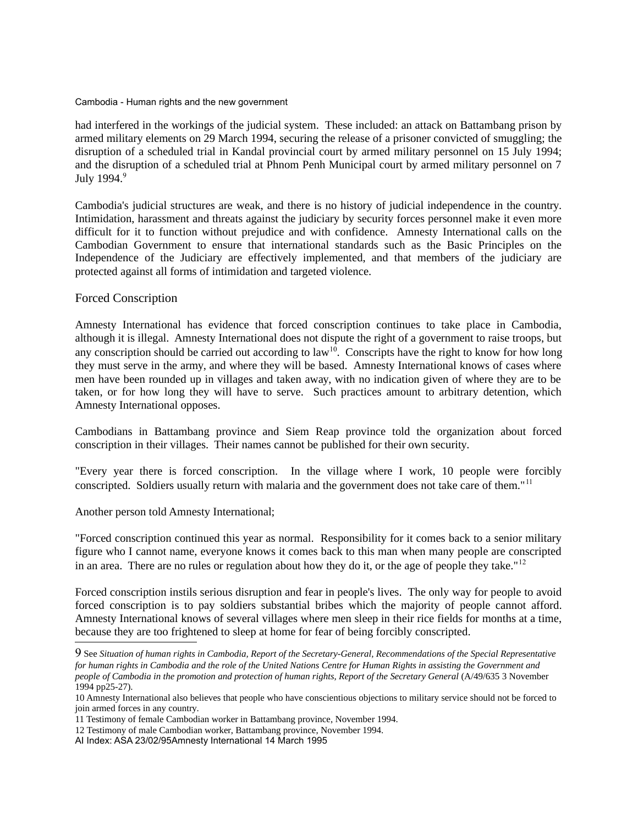had interfered in the workings of the judicial system. These included: an attack on Battambang prison by armed military elements on 29 March 1994, securing the release of a prisoner convicted of smuggling; the disruption of a scheduled trial in Kandal provincial court by armed military personnel on 15 July 1994; and the disruption of a scheduled trial at Phnom Penh Municipal court by armed military personnel on 7 July 1[9](#page-17-0)94.<sup>9</sup>

Cambodia's judicial structures are weak, and there is no history of judicial independence in the country. Intimidation, harassment and threats against the judiciary by security forces personnel make it even more difficult for it to function without prejudice and with confidence. Amnesty International calls on the Cambodian Government to ensure that international standards such as the Basic Principles on the Independence of the Judiciary are effectively implemented, and that members of the judiciary are protected against all forms of intimidation and targeted violence.

## Forced Conscription

Amnesty International has evidence that forced conscription continues to take place in Cambodia, although it is illegal. Amnesty International does not dispute the right of a government to raise troops, but any conscription should be carried out according to law<sup>[10](#page-17-1)</sup>. Conscripts have the right to know for how long they must serve in the army, and where they will be based. Amnesty International knows of cases where men have been rounded up in villages and taken away, with no indication given of where they are to be taken, or for how long they will have to serve. Such practices amount to arbitrary detention, which Amnesty International opposes.

Cambodians in Battambang province and Siem Reap province told the organization about forced conscription in their villages. Their names cannot be published for their own security.

"Every year there is forced conscription. In the village where I work, 10 people were forcibly conscripted. Soldiers usually return with malaria and the government does not take care of them."<sup>[11](#page-17-2)</sup>

Another person told Amnesty International;

"Forced conscription continued this year as normal. Responsibility for it comes back to a senior military figure who I cannot name, everyone knows it comes back to this man when many people are conscripted in an area. There are no rules or regulation about how they do it, or the age of people they take."<sup>[12](#page-17-3)</sup>

Forced conscription instils serious disruption and fear in people's lives. The only way for people to avoid forced conscription is to pay soldiers substantial bribes which the majority of people cannot afford. Amnesty International knows of several villages where men sleep in their rice fields for months at a time, because they are too frightened to sleep at home for fear of being forcibly conscripted.

<span id="page-17-0"></span><sup>9</sup> See *Situation of human rights in Cambodia, Report of the Secretary-General, Recommendations of the Special Representative for human rights in Cambodia and the role of the United Nations Centre for Human Rights in assisting the Government and people of Cambodia in the promotion and protection of human rights, Report of the Secretary General* (A/49/635 3 November 1994 pp25-27).

<span id="page-17-1"></span><sup>10</sup> Amnesty International also believes that people who have conscientious objections to military service should not be forced to join armed forces in any country.

<span id="page-17-2"></span><sup>11</sup> Testimony of female Cambodian worker in Battambang province, November 1994.

<span id="page-17-3"></span><sup>12</sup> Testimony of male Cambodian worker, Battambang province, November 1994.

AI Index: ASA 23/02/95Amnesty International 14 March 1995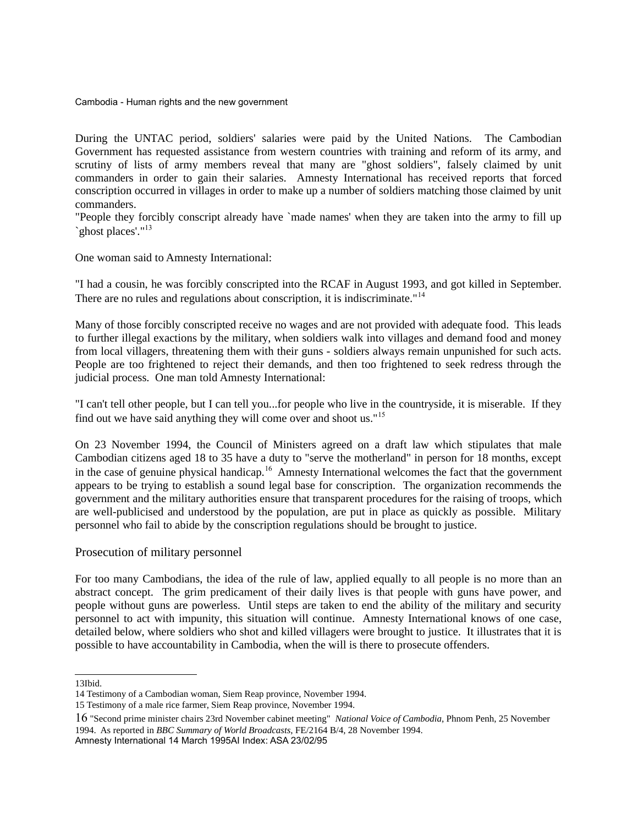During the UNTAC period, soldiers' salaries were paid by the United Nations. The Cambodian Government has requested assistance from western countries with training and reform of its army, and scrutiny of lists of army members reveal that many are "ghost soldiers", falsely claimed by unit commanders in order to gain their salaries. Amnesty International has received reports that forced conscription occurred in villages in order to make up a number of soldiers matching those claimed by unit commanders.

"People they forcibly conscript already have `made names' when they are taken into the army to fill up `ghost places'."<sup>[13](#page-18-0)</sup>

One woman said to Amnesty International:

"I had a cousin, he was forcibly conscripted into the RCAF in August 1993, and got killed in September. There are no rules and regulations about conscription, it is indiscriminate."<sup>[14](#page-18-1)</sup>

Many of those forcibly conscripted receive no wages and are not provided with adequate food. This leads to further illegal exactions by the military, when soldiers walk into villages and demand food and money from local villagers, threatening them with their guns - soldiers always remain unpunished for such acts. People are too frightened to reject their demands, and then too frightened to seek redress through the judicial process. One man told Amnesty International:

"I can't tell other people, but I can tell you...for people who live in the countryside, it is miserable. If they find out we have said anything they will come over and shoot us."[15](#page-18-2)

On 23 November 1994, the Council of Ministers agreed on a draft law which stipulates that male Cambodian citizens aged 18 to 35 have a duty to "serve the motherland" in person for 18 months, except in the case of genuine physical handicap.<sup>[16](#page-18-3)</sup> Amnesty International welcomes the fact that the government appears to be trying to establish a sound legal base for conscription. The organization recommends the government and the military authorities ensure that transparent procedures for the raising of troops, which are well-publicised and understood by the population, are put in place as quickly as possible. Military personnel who fail to abide by the conscription regulations should be brought to justice.

## Prosecution of military personnel

For too many Cambodians, the idea of the rule of law, applied equally to all people is no more than an abstract concept. The grim predicament of their daily lives is that people with guns have power, and people without guns are powerless. Until steps are taken to end the ability of the military and security personnel to act with impunity, this situation will continue. Amnesty International knows of one case, detailed below, where soldiers who shot and killed villagers were brought to justice. It illustrates that it is possible to have accountability in Cambodia, when the will is there to prosecute offenders.

<span id="page-18-0"></span><sup>13</sup>Ibid.

<span id="page-18-1"></span><sup>14</sup> Testimony of a Cambodian woman, Siem Reap province, November 1994.

<span id="page-18-2"></span><sup>15</sup> Testimony of a male rice farmer, Siem Reap province, November 1994.

<span id="page-18-3"></span><sup>16</sup> "Second prime minister chairs 23rd November cabinet meeting" *National Voice of Cambodia*, Phnom Penh, 25 November 1994. As reported in *BBC Summary of World Broadcasts*, FE/2164 B/4, 28 November 1994.

Amnesty International 14 March 1995AI Index: ASA 23/02/95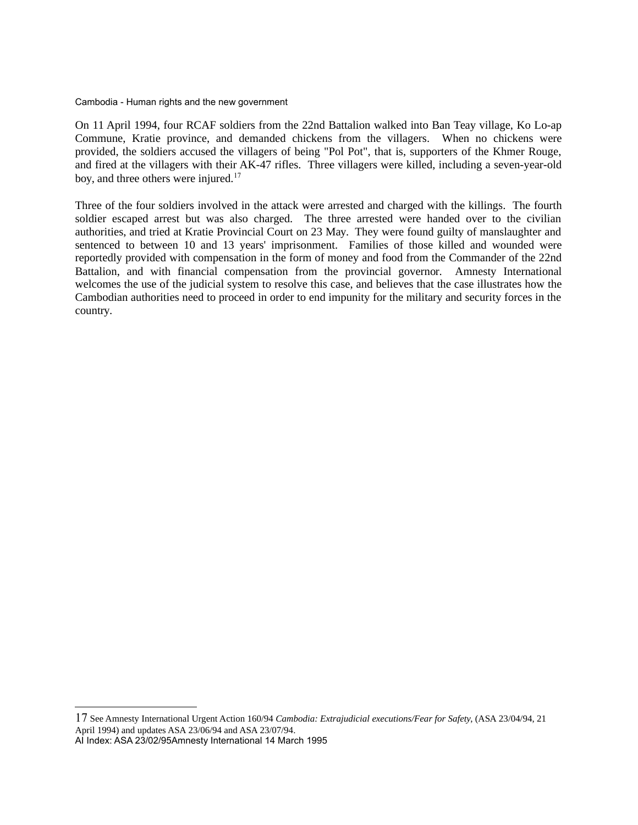On 11 April 1994, four RCAF soldiers from the 22nd Battalion walked into Ban Teay village, Ko Lo-ap Commune, Kratie province, and demanded chickens from the villagers. When no chickens were provided, the soldiers accused the villagers of being "Pol Pot", that is, supporters of the Khmer Rouge, and fired at the villagers with their AK-47 rifles. Three villagers were killed, including a seven-year-old boy, and three others were injured.<sup>[17](#page-19-0)</sup>

Three of the four soldiers involved in the attack were arrested and charged with the killings. The fourth soldier escaped arrest but was also charged. The three arrested were handed over to the civilian authorities, and tried at Kratie Provincial Court on 23 May. They were found guilty of manslaughter and sentenced to between 10 and 13 years' imprisonment. Families of those killed and wounded were reportedly provided with compensation in the form of money and food from the Commander of the 22nd Battalion, and with financial compensation from the provincial governor. Amnesty International welcomes the use of the judicial system to resolve this case, and believes that the case illustrates how the Cambodian authorities need to proceed in order to end impunity for the military and security forces in the country.

<span id="page-19-0"></span>17 See Amnesty International Urgent Action 160/94 *Cambodia: Extrajudicial executions/Fear for Safety*, (ASA 23/04/94, 21 April 1994) and updates ASA 23/06/94 and ASA 23/07/94. AI Index: ASA 23/02/95Amnesty International 14 March 1995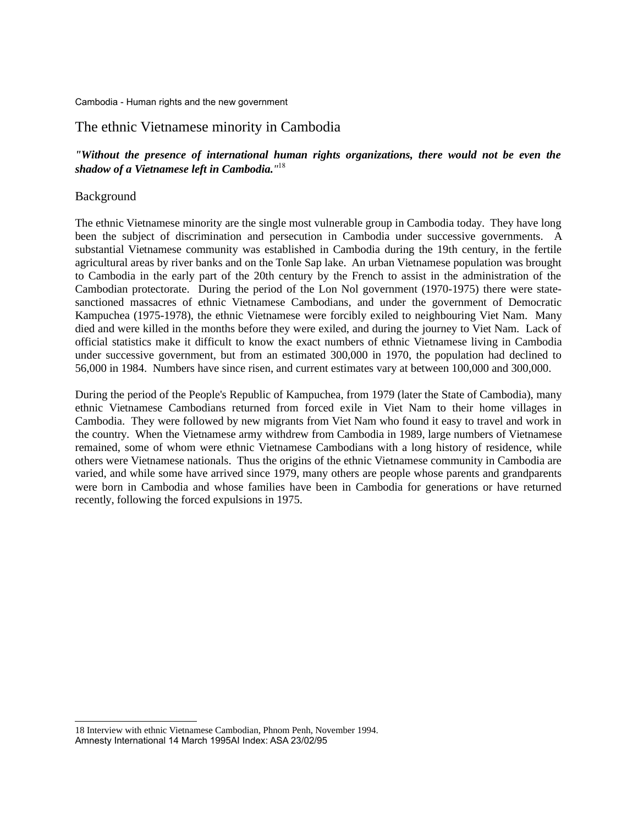# The ethnic Vietnamese minority in Cambodia

# *"Without the presence of international human rights organizations, there would not be even the shadow of a Vietnamese left in Cambodia."* [18](#page-20-0)

## Background

The ethnic Vietnamese minority are the single most vulnerable group in Cambodia today. They have long been the subject of discrimination and persecution in Cambodia under successive governments. A substantial Vietnamese community was established in Cambodia during the 19th century, in the fertile agricultural areas by river banks and on the Tonle Sap lake. An urban Vietnamese population was brought to Cambodia in the early part of the 20th century by the French to assist in the administration of the Cambodian protectorate. During the period of the Lon Nol government (1970-1975) there were statesanctioned massacres of ethnic Vietnamese Cambodians, and under the government of Democratic Kampuchea (1975-1978), the ethnic Vietnamese were forcibly exiled to neighbouring Viet Nam. Many died and were killed in the months before they were exiled, and during the journey to Viet Nam. Lack of official statistics make it difficult to know the exact numbers of ethnic Vietnamese living in Cambodia under successive government, but from an estimated 300,000 in 1970, the population had declined to 56,000 in 1984. Numbers have since risen, and current estimates vary at between 100,000 and 300,000.

During the period of the People's Republic of Kampuchea, from 1979 (later the State of Cambodia), many ethnic Vietnamese Cambodians returned from forced exile in Viet Nam to their home villages in Cambodia. They were followed by new migrants from Viet Nam who found it easy to travel and work in the country. When the Vietnamese army withdrew from Cambodia in 1989, large numbers of Vietnamese remained, some of whom were ethnic Vietnamese Cambodians with a long history of residence, while others were Vietnamese nationals. Thus the origins of the ethnic Vietnamese community in Cambodia are varied, and while some have arrived since 1979, many others are people whose parents and grandparents were born in Cambodia and whose families have been in Cambodia for generations or have returned recently, following the forced expulsions in 1975.

<span id="page-20-0"></span><sup>18</sup> Interview with ethnic Vietnamese Cambodian, Phnom Penh, November 1994. Amnesty International 14 March 1995AI Index: ASA 23/02/95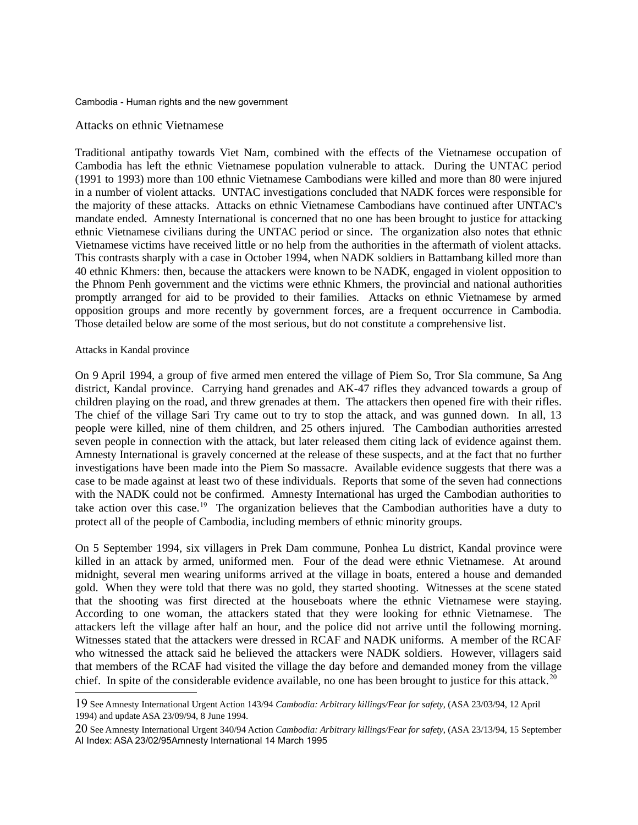## Attacks on ethnic Vietnamese

Traditional antipathy towards Viet Nam, combined with the effects of the Vietnamese occupation of Cambodia has left the ethnic Vietnamese population vulnerable to attack. During the UNTAC period (1991 to 1993) more than 100 ethnic Vietnamese Cambodians were killed and more than 80 were injured in a number of violent attacks. UNTAC investigations concluded that NADK forces were responsible for the majority of these attacks. Attacks on ethnic Vietnamese Cambodians have continued after UNTAC's mandate ended. Amnesty International is concerned that no one has been brought to justice for attacking ethnic Vietnamese civilians during the UNTAC period or since. The organization also notes that ethnic Vietnamese victims have received little or no help from the authorities in the aftermath of violent attacks. This contrasts sharply with a case in October 1994, when NADK soldiers in Battambang killed more than 40 ethnic Khmers: then, because the attackers were known to be NADK, engaged in violent opposition to the Phnom Penh government and the victims were ethnic Khmers, the provincial and national authorities promptly arranged for aid to be provided to their families. Attacks on ethnic Vietnamese by armed opposition groups and more recently by government forces, are a frequent occurrence in Cambodia. Those detailed below are some of the most serious, but do not constitute a comprehensive list.

#### Attacks in Kandal province

On 9 April 1994, a group of five armed men entered the village of Piem So, Tror Sla commune, Sa Ang district, Kandal province. Carrying hand grenades and AK-47 rifles they advanced towards a group of children playing on the road, and threw grenades at them. The attackers then opened fire with their rifles. The chief of the village Sari Try came out to try to stop the attack, and was gunned down. In all, 13 people were killed, nine of them children, and 25 others injured. The Cambodian authorities arrested seven people in connection with the attack, but later released them citing lack of evidence against them. Amnesty International is gravely concerned at the release of these suspects, and at the fact that no further investigations have been made into the Piem So massacre. Available evidence suggests that there was a case to be made against at least two of these individuals. Reports that some of the seven had connections with the NADK could not be confirmed. Amnesty International has urged the Cambodian authorities to take action over this case.<sup>[19](#page-21-0)</sup> The organization believes that the Cambodian authorities have a duty to protect all of the people of Cambodia, including members of ethnic minority groups.

On 5 September 1994, six villagers in Prek Dam commune, Ponhea Lu district, Kandal province were killed in an attack by armed, uniformed men. Four of the dead were ethnic Vietnamese. At around midnight, several men wearing uniforms arrived at the village in boats, entered a house and demanded gold. When they were told that there was no gold, they started shooting. Witnesses at the scene stated that the shooting was first directed at the houseboats where the ethnic Vietnamese were staying. According to one woman, the attackers stated that they were looking for ethnic Vietnamese. The attackers left the village after half an hour, and the police did not arrive until the following morning. Witnesses stated that the attackers were dressed in RCAF and NADK uniforms. A member of the RCAF who witnessed the attack said he believed the attackers were NADK soldiers. However, villagers said that members of the RCAF had visited the village the day before and demanded money from the village chief. In spite of the considerable evidence available, no one has been brought to justice for this attack.<sup>[20](#page-21-1)</sup>

<span id="page-21-0"></span><sup>19</sup> See Amnesty International Urgent Action 143/94 *Cambodia: Arbitrary killings/Fear for safety*, (ASA 23/03/94, 12 April 1994) and update ASA 23/09/94, 8 June 1994.

<span id="page-21-1"></span><sup>20</sup> See Amnesty International Urgent 340/94 Action *Cambodia: Arbitrary killings/Fear for safety*, (ASA 23/13/94, 15 September AI Index: ASA 23/02/95Amnesty International 14 March 1995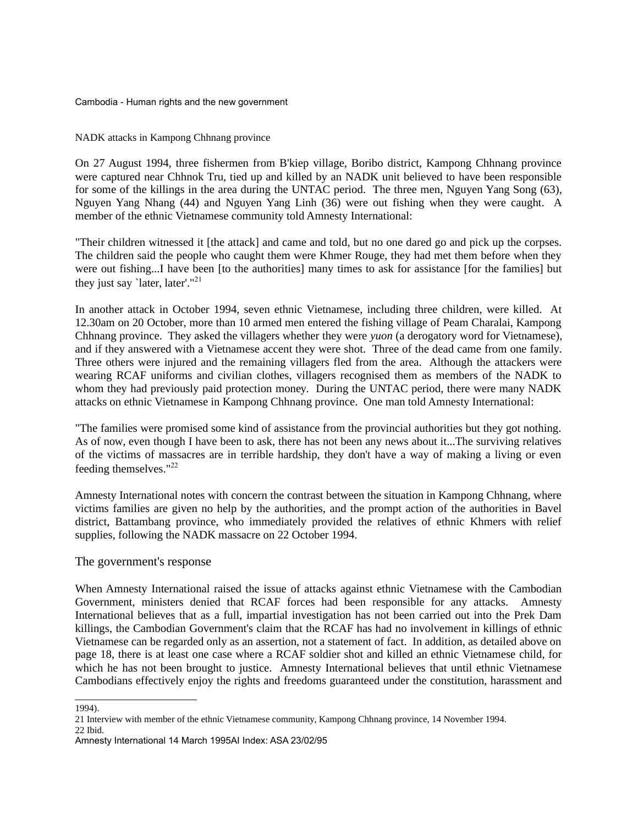## NADK attacks in Kampong Chhnang province

On 27 August 1994, three fishermen from B'kiep village, Boribo district, Kampong Chhnang province were captured near Chhnok Tru, tied up and killed by an NADK unit believed to have been responsible for some of the killings in the area during the UNTAC period. The three men, Nguyen Yang Song (63), Nguyen Yang Nhang (44) and Nguyen Yang Linh (36) were out fishing when they were caught. A member of the ethnic Vietnamese community told Amnesty International:

"Their children witnessed it [the attack] and came and told, but no one dared go and pick up the corpses. The children said the people who caught them were Khmer Rouge, they had met them before when they were out fishing...I have been [to the authorities] many times to ask for assistance [for the families] but they just say 'later, later'."<sup>[21](#page-22-0)</sup>

In another attack in October 1994, seven ethnic Vietnamese, including three children, were killed. At 12.30am on 20 October, more than 10 armed men entered the fishing village of Peam Charalai, Kampong Chhnang province. They asked the villagers whether they were *yuon* (a derogatory word for Vietnamese), and if they answered with a Vietnamese accent they were shot. Three of the dead came from one family. Three others were injured and the remaining villagers fled from the area. Although the attackers were wearing RCAF uniforms and civilian clothes, villagers recognised them as members of the NADK to whom they had previously paid protection money. During the UNTAC period, there were many NADK attacks on ethnic Vietnamese in Kampong Chhnang province. One man told Amnesty International:

"The families were promised some kind of assistance from the provincial authorities but they got nothing. As of now, even though I have been to ask, there has not been any news about it...The surviving relatives of the victims of massacres are in terrible hardship, they don't have a way of making a living or even feeding themselves." $^{22}$  $^{22}$  $^{22}$ 

Amnesty International notes with concern the contrast between the situation in Kampong Chhnang, where victims families are given no help by the authorities, and the prompt action of the authorities in Bavel district, Battambang province, who immediately provided the relatives of ethnic Khmers with relief supplies, following the NADK massacre on 22 October 1994.

## The government's response

When Amnesty International raised the issue of attacks against ethnic Vietnamese with the Cambodian Government, ministers denied that RCAF forces had been responsible for any attacks. Amnesty International believes that as a full, impartial investigation has not been carried out into the Prek Dam killings, the Cambodian Government's claim that the RCAF has had no involvement in killings of ethnic Vietnamese can be regarded only as an assertion, not a statement of fact. In addition, as detailed above on page 18, there is at least one case where a RCAF soldier shot and killed an ethnic Vietnamese child, for which he has not been brought to justice. Amnesty International believes that until ethnic Vietnamese Cambodians effectively enjoy the rights and freedoms guaranteed under the constitution, harassment and

<span id="page-22-1"></span>22 Ibid.

<sup>1994).</sup>

<span id="page-22-0"></span><sup>21</sup> Interview with member of the ethnic Vietnamese community, Kampong Chhnang province, 14 November 1994.

Amnesty International 14 March 1995AI Index: ASA 23/02/95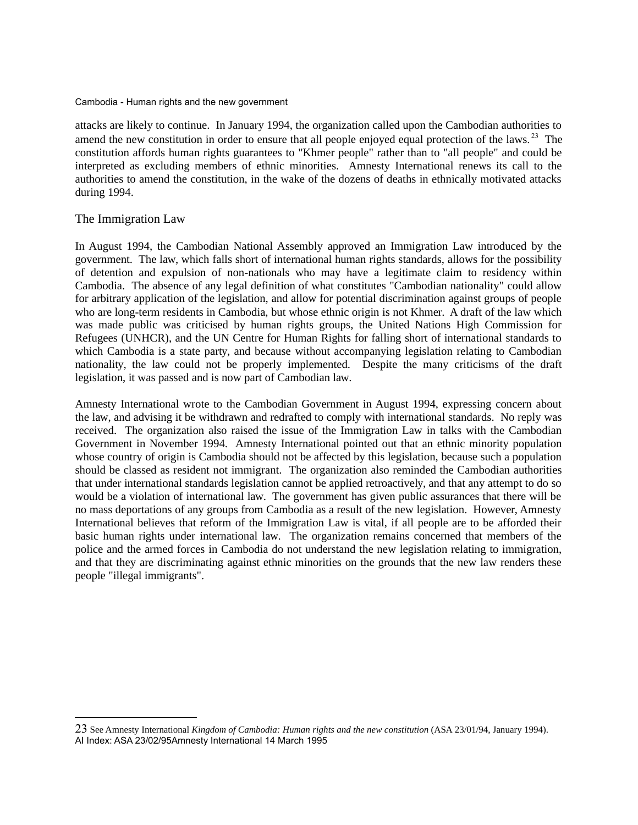attacks are likely to continue. In January 1994, the organization called upon the Cambodian authorities to amend the new constitution in order to ensure that all people enjoyed equal protection of the laws.<sup>[23](#page-23-0)</sup> The constitution affords human rights guarantees to "Khmer people" rather than to "all people" and could be interpreted as excluding members of ethnic minorities. Amnesty International renews its call to the authorities to amend the constitution, in the wake of the dozens of deaths in ethnically motivated attacks during 1994.

## The Immigration Law

In August 1994, the Cambodian National Assembly approved an Immigration Law introduced by the government. The law, which falls short of international human rights standards, allows for the possibility of detention and expulsion of non-nationals who may have a legitimate claim to residency within Cambodia. The absence of any legal definition of what constitutes "Cambodian nationality" could allow for arbitrary application of the legislation, and allow for potential discrimination against groups of people who are long-term residents in Cambodia, but whose ethnic origin is not Khmer. A draft of the law which was made public was criticised by human rights groups, the United Nations High Commission for Refugees (UNHCR), and the UN Centre for Human Rights for falling short of international standards to which Cambodia is a state party, and because without accompanying legislation relating to Cambodian nationality, the law could not be properly implemented. Despite the many criticisms of the draft legislation, it was passed and is now part of Cambodian law.

Amnesty International wrote to the Cambodian Government in August 1994, expressing concern about the law, and advising it be withdrawn and redrafted to comply with international standards. No reply was received. The organization also raised the issue of the Immigration Law in talks with the Cambodian Government in November 1994. Amnesty International pointed out that an ethnic minority population whose country of origin is Cambodia should not be affected by this legislation, because such a population should be classed as resident not immigrant. The organization also reminded the Cambodian authorities that under international standards legislation cannot be applied retroactively, and that any attempt to do so would be a violation of international law. The government has given public assurances that there will be no mass deportations of any groups from Cambodia as a result of the new legislation. However, Amnesty International believes that reform of the Immigration Law is vital, if all people are to be afforded their basic human rights under international law. The organization remains concerned that members of the police and the armed forces in Cambodia do not understand the new legislation relating to immigration, and that they are discriminating against ethnic minorities on the grounds that the new law renders these people "illegal immigrants".

<span id="page-23-0"></span><sup>23</sup> See Amnesty International *Kingdom of Cambodia: Human rights and the new constitution* (ASA 23/01/94, January 1994). AI Index: ASA 23/02/95Amnesty International 14 March 1995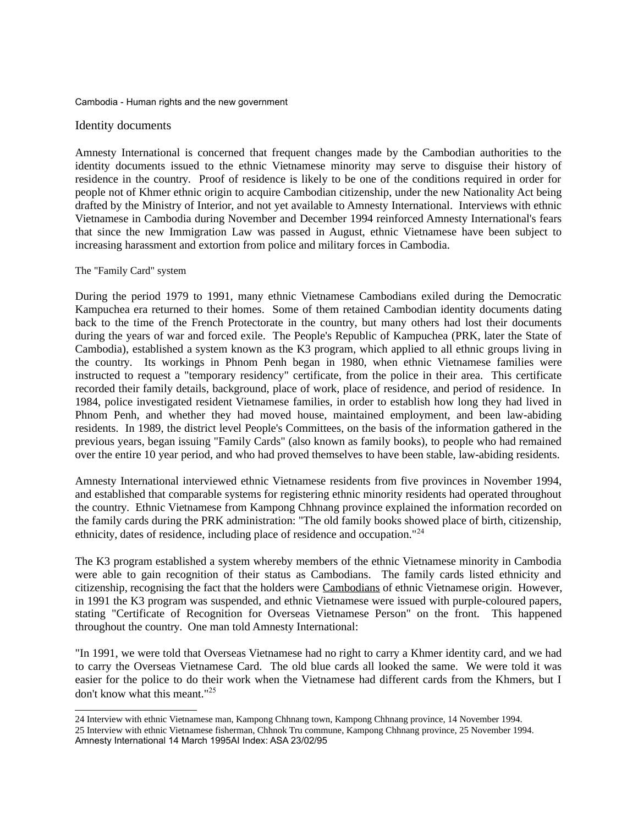## Identity documents

Amnesty International is concerned that frequent changes made by the Cambodian authorities to the identity documents issued to the ethnic Vietnamese minority may serve to disguise their history of residence in the country. Proof of residence is likely to be one of the conditions required in order for people not of Khmer ethnic origin to acquire Cambodian citizenship, under the new Nationality Act being drafted by the Ministry of Interior, and not yet available to Amnesty International. Interviews with ethnic Vietnamese in Cambodia during November and December 1994 reinforced Amnesty International's fears that since the new Immigration Law was passed in August, ethnic Vietnamese have been subject to increasing harassment and extortion from police and military forces in Cambodia.

#### The "Family Card" system

During the period 1979 to 1991, many ethnic Vietnamese Cambodians exiled during the Democratic Kampuchea era returned to their homes. Some of them retained Cambodian identity documents dating back to the time of the French Protectorate in the country, but many others had lost their documents during the years of war and forced exile. The People's Republic of Kampuchea (PRK, later the State of Cambodia), established a system known as the K3 program, which applied to all ethnic groups living in the country. Its workings in Phnom Penh began in 1980, when ethnic Vietnamese families were instructed to request a "temporary residency" certificate, from the police in their area. This certificate recorded their family details, background, place of work, place of residence, and period of residence. In 1984, police investigated resident Vietnamese families, in order to establish how long they had lived in Phnom Penh, and whether they had moved house, maintained employment, and been law-abiding residents. In 1989, the district level People's Committees, on the basis of the information gathered in the previous years, began issuing "Family Cards" (also known as family books), to people who had remained over the entire 10 year period, and who had proved themselves to have been stable, law-abiding residents.

Amnesty International interviewed ethnic Vietnamese residents from five provinces in November 1994, and established that comparable systems for registering ethnic minority residents had operated throughout the country. Ethnic Vietnamese from Kampong Chhnang province explained the information recorded on the family cards during the PRK administration: "The old family books showed place of birth, citizenship, ethnicity, dates of residence, including place of residence and occupation."[24](#page-24-0)

The K3 program established a system whereby members of the ethnic Vietnamese minority in Cambodia were able to gain recognition of their status as Cambodians. The family cards listed ethnicity and citizenship, recognising the fact that the holders were Cambodians of ethnic Vietnamese origin. However, in 1991 the K3 program was suspended, and ethnic Vietnamese were issued with purple-coloured papers, stating "Certificate of Recognition for Overseas Vietnamese Person" on the front. This happened throughout the country. One man told Amnesty International:

"In 1991, we were told that Overseas Vietnamese had no right to carry a Khmer identity card, and we had to carry the Overseas Vietnamese Card. The old blue cards all looked the same. We were told it was easier for the police to do their work when the Vietnamese had different cards from the Khmers, but I don't know what this meant."[25](#page-24-1)

<span id="page-24-1"></span><span id="page-24-0"></span><sup>24</sup> Interview with ethnic Vietnamese man, Kampong Chhnang town, Kampong Chhnang province, 14 November 1994. 25 Interview with ethnic Vietnamese fisherman, Chhnok Tru commune, Kampong Chhnang province, 25 November 1994. Amnesty International 14 March 1995AI Index: ASA 23/02/95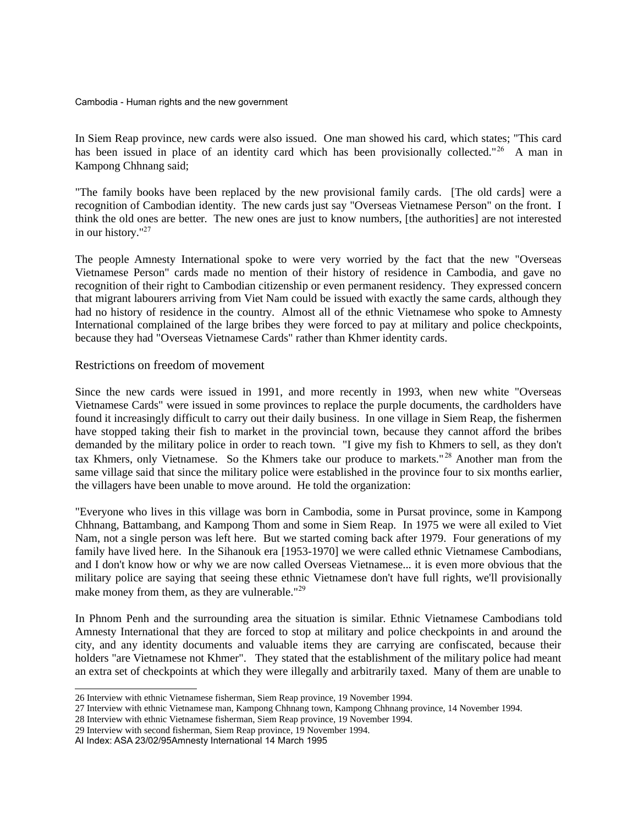In Siem Reap province, new cards were also issued. One man showed his card, which states; "This card has been issued in place of an identity card which has been provisionally collected."<sup>[26](#page-25-0)</sup> A man in Kampong Chhnang said;

"The family books have been replaced by the new provisional family cards. [The old cards] were a recognition of Cambodian identity. The new cards just say "Overseas Vietnamese Person" on the front. I think the old ones are better. The new ones are just to know numbers, [the authorities] are not interested in our history."[27](#page-25-1)

The people Amnesty International spoke to were very worried by the fact that the new "Overseas Vietnamese Person" cards made no mention of their history of residence in Cambodia, and gave no recognition of their right to Cambodian citizenship or even permanent residency. They expressed concern that migrant labourers arriving from Viet Nam could be issued with exactly the same cards, although they had no history of residence in the country. Almost all of the ethnic Vietnamese who spoke to Amnesty International complained of the large bribes they were forced to pay at military and police checkpoints, because they had "Overseas Vietnamese Cards" rather than Khmer identity cards.

## Restrictions on freedom of movement

Since the new cards were issued in 1991, and more recently in 1993, when new white "Overseas Vietnamese Cards" were issued in some provinces to replace the purple documents, the cardholders have found it increasingly difficult to carry out their daily business. In one village in Siem Reap, the fishermen have stopped taking their fish to market in the provincial town, because they cannot afford the bribes demanded by the military police in order to reach town. "I give my fish to Khmers to sell, as they don't tax Khmers, only Vietnamese. So the Khmers take our produce to markets." [28](#page-25-2) Another man from the same village said that since the military police were established in the province four to six months earlier, the villagers have been unable to move around. He told the organization:

"Everyone who lives in this village was born in Cambodia, some in Pursat province, some in Kampong Chhnang, Battambang, and Kampong Thom and some in Siem Reap. In 1975 we were all exiled to Viet Nam, not a single person was left here. But we started coming back after 1979. Four generations of my family have lived here. In the Sihanouk era [1953-1970] we were called ethnic Vietnamese Cambodians, and I don't know how or why we are now called Overseas Vietnamese... it is even more obvious that the military police are saying that seeing these ethnic Vietnamese don't have full rights, we'll provisionally make money from them, as they are vulnerable."<sup>[29](#page-25-3)</sup>

In Phnom Penh and the surrounding area the situation is similar. Ethnic Vietnamese Cambodians told Amnesty International that they are forced to stop at military and police checkpoints in and around the city, and any identity documents and valuable items they are carrying are confiscated, because their holders "are Vietnamese not Khmer". They stated that the establishment of the military police had meant an extra set of checkpoints at which they were illegally and arbitrarily taxed. Many of them are unable to

<span id="page-25-0"></span><sup>26</sup> Interview with ethnic Vietnamese fisherman, Siem Reap province, 19 November 1994.

<span id="page-25-1"></span><sup>27</sup> Interview with ethnic Vietnamese man, Kampong Chhnang town, Kampong Chhnang province, 14 November 1994.

<span id="page-25-2"></span><sup>28</sup> Interview with ethnic Vietnamese fisherman, Siem Reap province, 19 November 1994.

<span id="page-25-3"></span><sup>29</sup> Interview with second fisherman, Siem Reap province, 19 November 1994.

AI Index: ASA 23/02/95Amnesty International 14 March 1995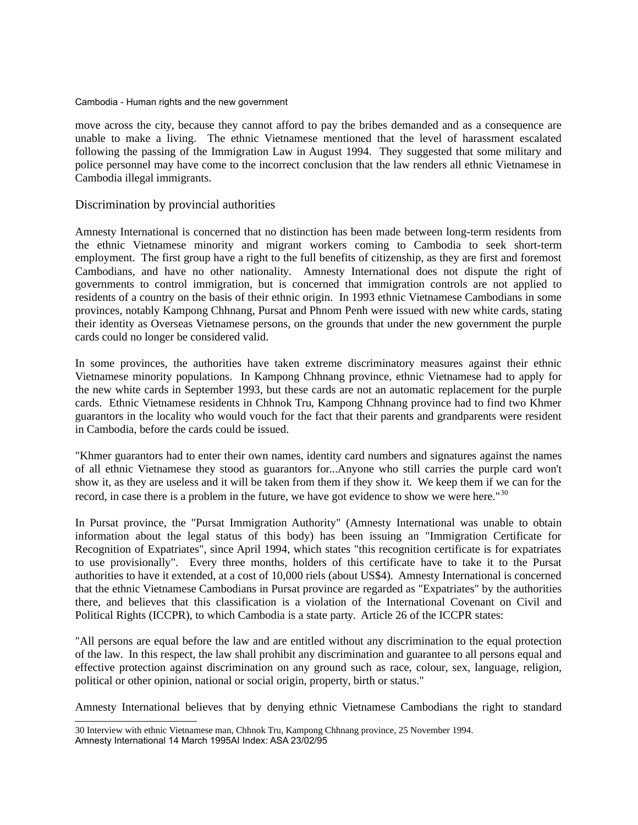move across the city, because they cannot afford to pay the bribes demanded and as a consequence are unable to make a living. The ethnic Vietnamese mentioned that the level of harassment escalated following the passing of the Immigration Law in August 1994. They suggested that some military and police personnel may have come to the incorrect conclusion that the law renders all ethnic Vietnamese in Cambodia illegal immigrants.

## Discrimination by provincial authorities

Amnesty International is concerned that no distinction has been made between long-term residents from the ethnic Vietnamese minority and migrant workers coming to Cambodia to seek short-term employment. The first group have a right to the full benefits of citizenship, as they are first and foremost Cambodians, and have no other nationality. Amnesty International does not dispute the right of governments to control immigration, but is concerned that immigration controls are not applied to residents of a country on the basis of their ethnic origin. In 1993 ethnic Vietnamese Cambodians in some provinces, notably Kampong Chhnang, Pursat and Phnom Penh were issued with new white cards, stating their identity as Overseas Vietnamese persons, on the grounds that under the new government the purple cards could no longer be considered valid.

In some provinces, the authorities have taken extreme discriminatory measures against their ethnic Vietnamese minority populations. In Kampong Chhnang province, ethnic Vietnamese had to apply for the new white cards in September 1993, but these cards are not an automatic replacement for the purple cards. Ethnic Vietnamese residents in Chhnok Tru, Kampong Chhnang province had to find two Khmer guarantors in the locality who would vouch for the fact that their parents and grandparents were resident in Cambodia, before the cards could be issued.

"Khmer guarantors had to enter their own names, identity card numbers and signatures against the names of all ethnic Vietnamese they stood as guarantors for...Anyone who still carries the purple card won't show it, as they are useless and it will be taken from them if they show it. We keep them if we can for the record, in case there is a problem in the future, we have got evidence to show we were here."<sup>[30](#page-26-0)</sup>

In Pursat province, the "Pursat Immigration Authority" (Amnesty International was unable to obtain information about the legal status of this body) has been issuing an "Immigration Certificate for Recognition of Expatriates", since April 1994, which states "this recognition certificate is for expatriates to use provisionally". Every three months, holders of this certificate have to take it to the Pursat authorities to have it extended, at a cost of 10,000 riels (about US\$4). Amnesty International is concerned that the ethnic Vietnamese Cambodians in Pursat province are regarded as "Expatriates" by the authorities there, and believes that this classification is a violation of the International Covenant on Civil and Political Rights (ICCPR), to which Cambodia is a state party. Article 26 of the ICCPR states:

"All persons are equal before the law and are entitled without any discrimination to the equal protection of the law. In this respect, the law shall prohibit any discrimination and guarantee to all persons equal and effective protection against discrimination on any ground such as race, colour, sex, language, religion, political or other opinion, national or social origin, property, birth or status."

Amnesty International believes that by denying ethnic Vietnamese Cambodians the right to standard

<span id="page-26-0"></span><sup>30</sup> Interview with ethnic Vietnamese man, Chhnok Tru, Kampong Chhnang province, 25 November 1994. Amnesty International 14 March 1995AI Index: ASA 23/02/95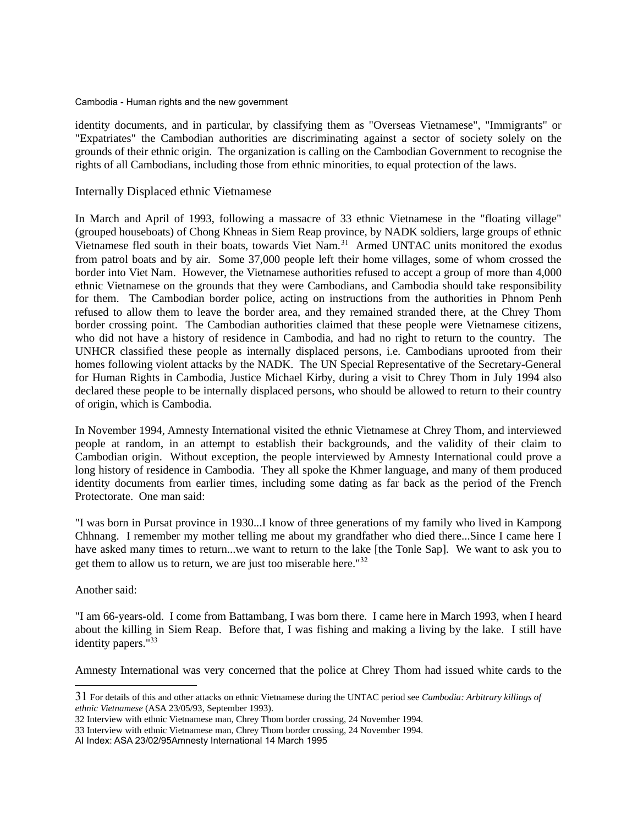identity documents, and in particular, by classifying them as "Overseas Vietnamese", "Immigrants" or "Expatriates" the Cambodian authorities are discriminating against a sector of society solely on the grounds of their ethnic origin. The organization is calling on the Cambodian Government to recognise the rights of all Cambodians, including those from ethnic minorities, to equal protection of the laws.

## Internally Displaced ethnic Vietnamese

In March and April of 1993, following a massacre of 33 ethnic Vietnamese in the "floating village" (grouped houseboats) of Chong Khneas in Siem Reap province, by NADK soldiers, large groups of ethnic Vietnamese fled south in their boats, towards Viet Nam.<sup>[31](#page-27-0)</sup> Armed UNTAC units monitored the exodus from patrol boats and by air. Some 37,000 people left their home villages, some of whom crossed the border into Viet Nam. However, the Vietnamese authorities refused to accept a group of more than 4,000 ethnic Vietnamese on the grounds that they were Cambodians, and Cambodia should take responsibility for them. The Cambodian border police, acting on instructions from the authorities in Phnom Penh refused to allow them to leave the border area, and they remained stranded there, at the Chrey Thom border crossing point. The Cambodian authorities claimed that these people were Vietnamese citizens, who did not have a history of residence in Cambodia, and had no right to return to the country. The UNHCR classified these people as internally displaced persons, i.e. Cambodians uprooted from their homes following violent attacks by the NADK. The UN Special Representative of the Secretary-General for Human Rights in Cambodia, Justice Michael Kirby, during a visit to Chrey Thom in July 1994 also declared these people to be internally displaced persons, who should be allowed to return to their country of origin, which is Cambodia.

In November 1994, Amnesty International visited the ethnic Vietnamese at Chrey Thom, and interviewed people at random, in an attempt to establish their backgrounds, and the validity of their claim to Cambodian origin. Without exception, the people interviewed by Amnesty International could prove a long history of residence in Cambodia. They all spoke the Khmer language, and many of them produced identity documents from earlier times, including some dating as far back as the period of the French Protectorate. One man said:

"I was born in Pursat province in 1930...I know of three generations of my family who lived in Kampong Chhnang. I remember my mother telling me about my grandfather who died there...Since I came here I have asked many times to return...we want to return to the lake [the Tonle Sap]. We want to ask you to get them to allow us to return, we are just too miserable here."<sup>[32](#page-27-1)</sup>

## Another said:

"I am 66-years-old. I come from Battambang, I was born there. I came here in March 1993, when I heard about the killing in Siem Reap. Before that, I was fishing and making a living by the lake. I still have identity papers."<sup>[33](#page-27-2)</sup>

Amnesty International was very concerned that the police at Chrey Thom had issued white cards to the

<span id="page-27-0"></span><sup>31</sup> For details of this and other attacks on ethnic Vietnamese during the UNTAC period see *Cambodia: Arbitrary killings of ethnic Vietnamese* (ASA 23/05/93, September 1993).

<span id="page-27-1"></span><sup>32</sup> Interview with ethnic Vietnamese man, Chrey Thom border crossing, 24 November 1994.

<span id="page-27-2"></span><sup>33</sup> Interview with ethnic Vietnamese man, Chrey Thom border crossing, 24 November 1994.

AI Index: ASA 23/02/95Amnesty International 14 March 1995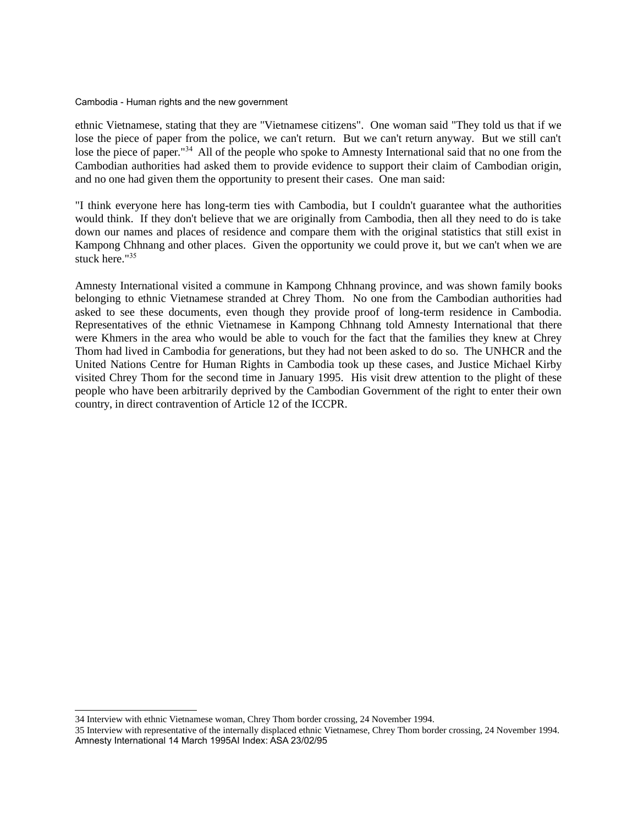ethnic Vietnamese, stating that they are "Vietnamese citizens". One woman said "They told us that if we lose the piece of paper from the police, we can't return. But we can't return anyway. But we still can't lose the piece of paper.<sup>"[34](#page-28-0)</sup> All of the people who spoke to Amnesty International said that no one from the Cambodian authorities had asked them to provide evidence to support their claim of Cambodian origin, and no one had given them the opportunity to present their cases. One man said:

"I think everyone here has long-term ties with Cambodia, but I couldn't guarantee what the authorities would think. If they don't believe that we are originally from Cambodia, then all they need to do is take down our names and places of residence and compare them with the original statistics that still exist in Kampong Chhnang and other places. Given the opportunity we could prove it, but we can't when we are stuck here."[35](#page-28-1)

Amnesty International visited a commune in Kampong Chhnang province, and was shown family books belonging to ethnic Vietnamese stranded at Chrey Thom. No one from the Cambodian authorities had asked to see these documents, even though they provide proof of long-term residence in Cambodia. Representatives of the ethnic Vietnamese in Kampong Chhnang told Amnesty International that there were Khmers in the area who would be able to vouch for the fact that the families they knew at Chrey Thom had lived in Cambodia for generations, but they had not been asked to do so. The UNHCR and the United Nations Centre for Human Rights in Cambodia took up these cases, and Justice Michael Kirby visited Chrey Thom for the second time in January 1995. His visit drew attention to the plight of these people who have been arbitrarily deprived by the Cambodian Government of the right to enter their own country, in direct contravention of Article 12 of the ICCPR.

<span id="page-28-0"></span><sup>34</sup> Interview with ethnic Vietnamese woman, Chrey Thom border crossing, 24 November 1994.

<span id="page-28-1"></span><sup>35</sup> Interview with representative of the internally displaced ethnic Vietnamese, Chrey Thom border crossing, 24 November 1994. Amnesty International 14 March 1995AI Index: ASA 23/02/95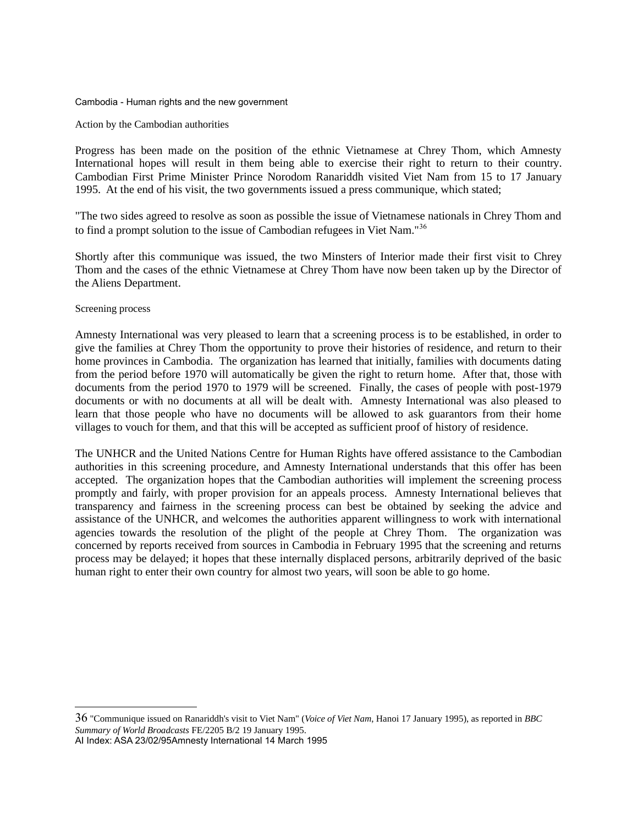#### Action by the Cambodian authorities

Progress has been made on the position of the ethnic Vietnamese at Chrey Thom, which Amnesty International hopes will result in them being able to exercise their right to return to their country. Cambodian First Prime Minister Prince Norodom Ranariddh visited Viet Nam from 15 to 17 January 1995. At the end of his visit, the two governments issued a press communique, which stated;

"The two sides agreed to resolve as soon as possible the issue of Vietnamese nationals in Chrey Thom and to find a prompt solution to the issue of Cambodian refugees in Viet Nam."[36](#page-29-0)

Shortly after this communique was issued, the two Minsters of Interior made their first visit to Chrey Thom and the cases of the ethnic Vietnamese at Chrey Thom have now been taken up by the Director of the Aliens Department.

## Screening process

Amnesty International was very pleased to learn that a screening process is to be established, in order to give the families at Chrey Thom the opportunity to prove their histories of residence, and return to their home provinces in Cambodia. The organization has learned that initially, families with documents dating from the period before 1970 will automatically be given the right to return home. After that, those with documents from the period 1970 to 1979 will be screened. Finally, the cases of people with post-1979 documents or with no documents at all will be dealt with. Amnesty International was also pleased to learn that those people who have no documents will be allowed to ask guarantors from their home villages to vouch for them, and that this will be accepted as sufficient proof of history of residence.

The UNHCR and the United Nations Centre for Human Rights have offered assistance to the Cambodian authorities in this screening procedure, and Amnesty International understands that this offer has been accepted. The organization hopes that the Cambodian authorities will implement the screening process promptly and fairly, with proper provision for an appeals process. Amnesty International believes that transparency and fairness in the screening process can best be obtained by seeking the advice and assistance of the UNHCR, and welcomes the authorities apparent willingness to work with international agencies towards the resolution of the plight of the people at Chrey Thom. The organization was concerned by reports received from sources in Cambodia in February 1995 that the screening and returns process may be delayed; it hopes that these internally displaced persons, arbitrarily deprived of the basic human right to enter their own country for almost two years, will soon be able to go home.

<span id="page-29-0"></span>36 "Communique issued on Ranariddh's visit to Viet Nam" (*Voice of Viet Nam*, Hanoi 17 January 1995), as reported in *BBC Summary of World Broadcasts* FE/2205 B/2 19 January 1995. AI Index: ASA 23/02/95Amnesty International 14 March 1995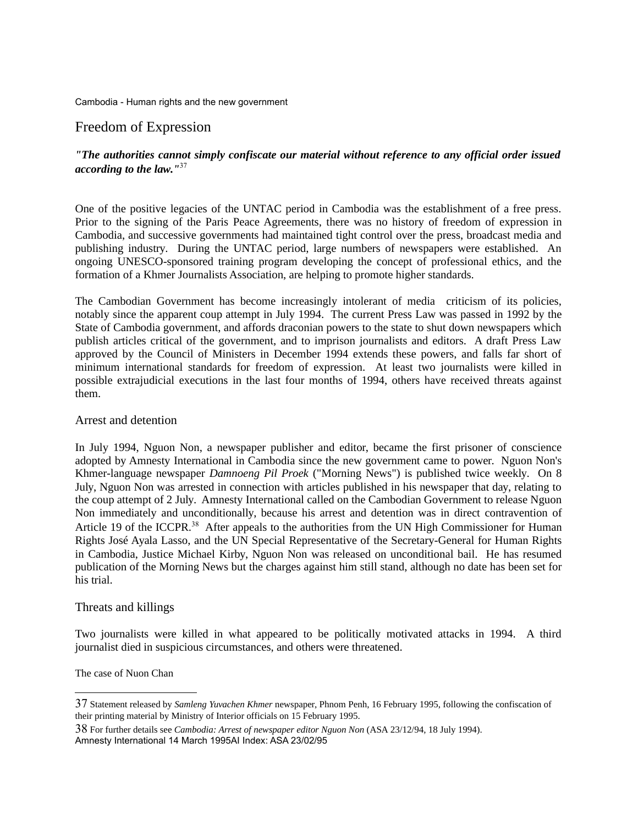# Freedom of Expression

# *"The authorities cannot simply confiscate our material without reference to any official order issued according to the law."*[37](#page-30-0)

One of the positive legacies of the UNTAC period in Cambodia was the establishment of a free press. Prior to the signing of the Paris Peace Agreements, there was no history of freedom of expression in Cambodia, and successive governments had maintained tight control over the press, broadcast media and publishing industry. During the UNTAC period, large numbers of newspapers were established. An ongoing UNESCO-sponsored training program developing the concept of professional ethics, and the formation of a Khmer Journalists Association, are helping to promote higher standards.

The Cambodian Government has become increasingly intolerant of media criticism of its policies, notably since the apparent coup attempt in July 1994. The current Press Law was passed in 1992 by the State of Cambodia government, and affords draconian powers to the state to shut down newspapers which publish articles critical of the government, and to imprison journalists and editors. A draft Press Law approved by the Council of Ministers in December 1994 extends these powers, and falls far short of minimum international standards for freedom of expression. At least two journalists were killed in possible extrajudicial executions in the last four months of 1994, others have received threats against them.

## Arrest and detention

In July 1994, Nguon Non, a newspaper publisher and editor, became the first prisoner of conscience adopted by Amnesty International in Cambodia since the new government came to power. Nguon Non's Khmer-language newspaper *Damnoeng Pil Proek* ("Morning News") is published twice weekly. On 8 July, Nguon Non was arrested in connection with articles published in his newspaper that day, relating to the coup attempt of 2 July. Amnesty International called on the Cambodian Government to release Nguon Non immediately and unconditionally, because his arrest and detention was in direct contravention of Article 19 of the ICCPR.<sup>[38](#page-30-1)</sup> After appeals to the authorities from the UN High Commissioner for Human Rights José Ayala Lasso, and the UN Special Representative of the Secretary-General for Human Rights in Cambodia, Justice Michael Kirby, Nguon Non was released on unconditional bail. He has resumed publication of the Morning News but the charges against him still stand, although no date has been set for his trial.

## Threats and killings

Two journalists were killed in what appeared to be politically motivated attacks in 1994. A third journalist died in suspicious circumstances, and others were threatened.

The case of Nuon Chan

<span id="page-30-0"></span><sup>37</sup> Statement released by *Samleng Yuvachen Khmer* newspaper, Phnom Penh, 16 February 1995, following the confiscation of their printing material by Ministry of Interior officials on 15 February 1995.

<span id="page-30-1"></span><sup>38</sup> For further details see *Cambodia: Arrest of newspaper editor Nguon Non* (ASA 23/12/94, 18 July 1994). Amnesty International 14 March 1995AI Index: ASA 23/02/95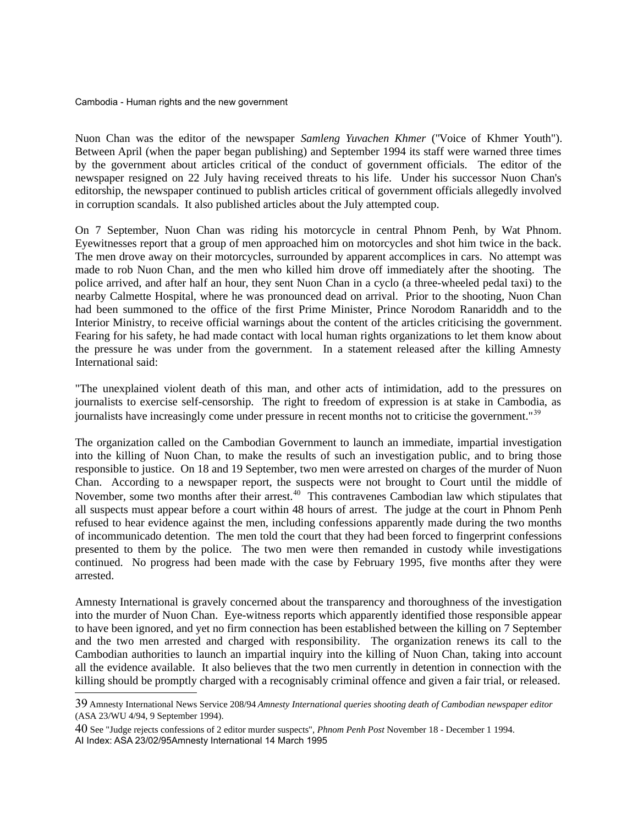Nuon Chan was the editor of the newspaper *Samleng Yuvachen Khmer* ("Voice of Khmer Youth"). Between April (when the paper began publishing) and September 1994 its staff were warned three times by the government about articles critical of the conduct of government officials. The editor of the newspaper resigned on 22 July having received threats to his life. Under his successor Nuon Chan's editorship, the newspaper continued to publish articles critical of government officials allegedly involved in corruption scandals. It also published articles about the July attempted coup.

On 7 September, Nuon Chan was riding his motorcycle in central Phnom Penh, by Wat Phnom. Eyewitnesses report that a group of men approached him on motorcycles and shot him twice in the back. The men drove away on their motorcycles, surrounded by apparent accomplices in cars. No attempt was made to rob Nuon Chan, and the men who killed him drove off immediately after the shooting. The police arrived, and after half an hour, they sent Nuon Chan in a cyclo (a three-wheeled pedal taxi) to the nearby Calmette Hospital, where he was pronounced dead on arrival. Prior to the shooting, Nuon Chan had been summoned to the office of the first Prime Minister, Prince Norodom Ranariddh and to the Interior Ministry, to receive official warnings about the content of the articles criticising the government. Fearing for his safety, he had made contact with local human rights organizations to let them know about the pressure he was under from the government. In a statement released after the killing Amnesty International said:

"The unexplained violent death of this man, and other acts of intimidation, add to the pressures on journalists to exercise self-censorship. The right to freedom of expression is at stake in Cambodia, as journalists have increasingly come under pressure in recent months not to criticise the government."<sup>[39](#page-31-0)</sup>

The organization called on the Cambodian Government to launch an immediate, impartial investigation into the killing of Nuon Chan, to make the results of such an investigation public, and to bring those responsible to justice. On 18 and 19 September, two men were arrested on charges of the murder of Nuon Chan. According to a newspaper report, the suspects were not brought to Court until the middle of November, some two months after their arrest.<sup>[40](#page-31-1)</sup> This contravenes Cambodian law which stipulates that all suspects must appear before a court within 48 hours of arrest. The judge at the court in Phnom Penh refused to hear evidence against the men, including confessions apparently made during the two months of incommunicado detention. The men told the court that they had been forced to fingerprint confessions presented to them by the police. The two men were then remanded in custody while investigations continued. No progress had been made with the case by February 1995, five months after they were arrested.

Amnesty International is gravely concerned about the transparency and thoroughness of the investigation into the murder of Nuon Chan. Eye-witness reports which apparently identified those responsible appear to have been ignored, and yet no firm connection has been established between the killing on 7 September and the two men arrested and charged with responsibility. The organization renews its call to the Cambodian authorities to launch an impartial inquiry into the killing of Nuon Chan, taking into account all the evidence available. It also believes that the two men currently in detention in connection with the killing should be promptly charged with a recognisably criminal offence and given a fair trial, or released.

<span id="page-31-0"></span><sup>39</sup> Amnesty International News Service 208/94 *Amnesty International queries shooting death of Cambodian newspaper editor* (ASA 23/WU 4/94, 9 September 1994).

<span id="page-31-1"></span><sup>40</sup> See "Judge rejects confessions of 2 editor murder suspects", *Phnom Penh Post* November 18 - December 1 1994. AI Index: ASA 23/02/95Amnesty International 14 March 1995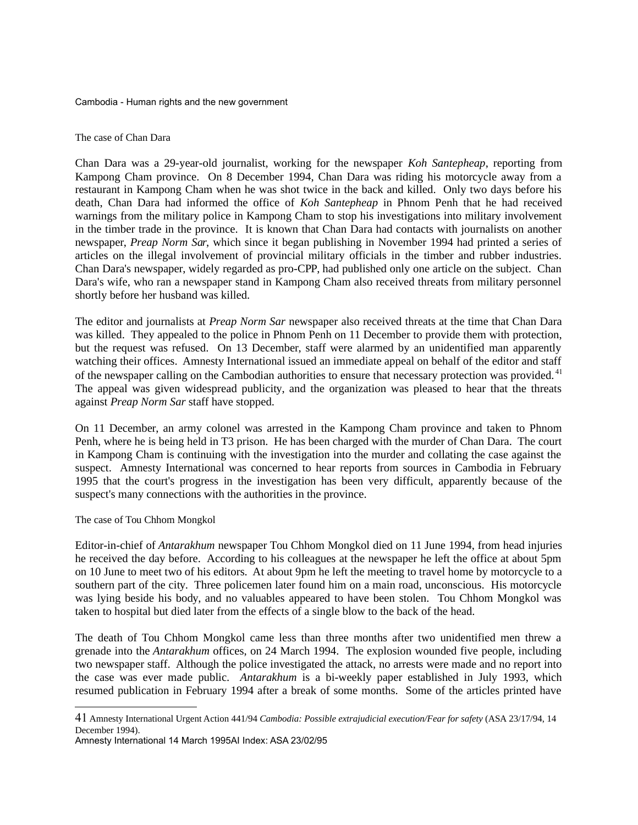The case of Chan Dara

Chan Dara was a 29-year-old journalist, working for the newspaper *Koh Santepheap*, reporting from Kampong Cham province. On 8 December 1994, Chan Dara was riding his motorcycle away from a restaurant in Kampong Cham when he was shot twice in the back and killed. Only two days before his death, Chan Dara had informed the office of *Koh Santepheap* in Phnom Penh that he had received warnings from the military police in Kampong Cham to stop his investigations into military involvement in the timber trade in the province. It is known that Chan Dara had contacts with journalists on another newspaper, *Preap Norm Sar*, which since it began publishing in November 1994 had printed a series of articles on the illegal involvement of provincial military officials in the timber and rubber industries. Chan Dara's newspaper, widely regarded as pro-CPP, had published only one article on the subject. Chan Dara's wife, who ran a newspaper stand in Kampong Cham also received threats from military personnel shortly before her husband was killed.

The editor and journalists at *Preap Norm Sar* newspaper also received threats at the time that Chan Dara was killed. They appealed to the police in Phnom Penh on 11 December to provide them with protection, but the request was refused. On 13 December, staff were alarmed by an unidentified man apparently watching their offices. Amnesty International issued an immediate appeal on behalf of the editor and staff of the newspaper calling on the Cambodian authorities to ensure that necessary protection was provided. [41](#page-32-0) The appeal was given widespread publicity, and the organization was pleased to hear that the threats against *Preap Norm Sar* staff have stopped.

On 11 December, an army colonel was arrested in the Kampong Cham province and taken to Phnom Penh, where he is being held in T3 prison. He has been charged with the murder of Chan Dara. The court in Kampong Cham is continuing with the investigation into the murder and collating the case against the suspect. Amnesty International was concerned to hear reports from sources in Cambodia in February 1995 that the court's progress in the investigation has been very difficult, apparently because of the suspect's many connections with the authorities in the province.

## The case of Tou Chhom Mongkol

Editor-in-chief of *Antarakhum* newspaper Tou Chhom Mongkol died on 11 June 1994, from head injuries he received the day before. According to his colleagues at the newspaper he left the office at about 5pm on 10 June to meet two of his editors. At about 9pm he left the meeting to travel home by motorcycle to a southern part of the city. Three policemen later found him on a main road, unconscious. His motorcycle was lying beside his body, and no valuables appeared to have been stolen. Tou Chhom Mongkol was taken to hospital but died later from the effects of a single blow to the back of the head.

The death of Tou Chhom Mongkol came less than three months after two unidentified men threw a grenade into the *Antarakhum* offices, on 24 March 1994. The explosion wounded five people, including two newspaper staff. Although the police investigated the attack, no arrests were made and no report into the case was ever made public. *Antarakhum* is a bi-weekly paper established in July 1993, which resumed publication in February 1994 after a break of some months. Some of the articles printed have

Amnesty International 14 March 1995AI Index: ASA 23/02/95

<span id="page-32-0"></span><sup>41</sup> Amnesty International Urgent Action 441/94 *Cambodia: Possible extrajudicial execution/Fear for safety* (ASA 23/17/94, 14 December 1994).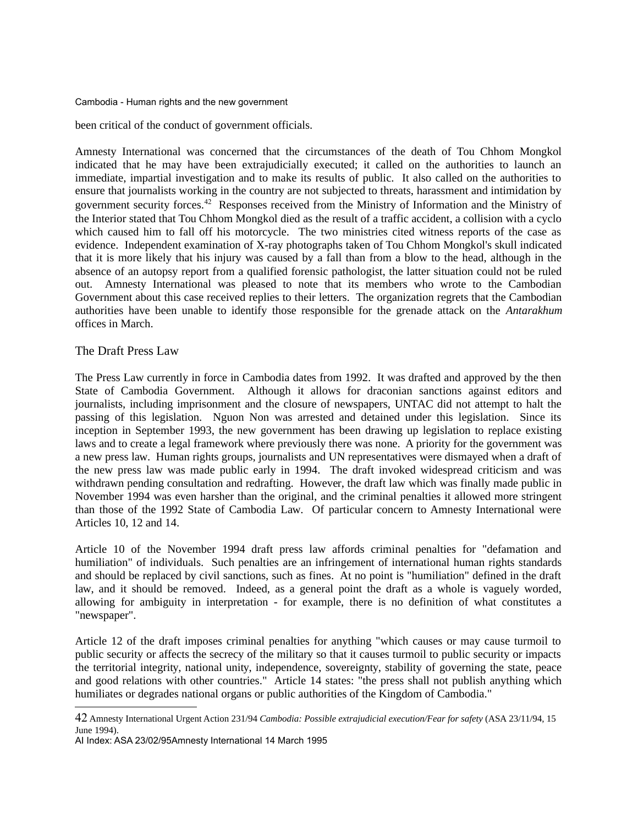been critical of the conduct of government officials.

Amnesty International was concerned that the circumstances of the death of Tou Chhom Mongkol indicated that he may have been extrajudicially executed; it called on the authorities to launch an immediate, impartial investigation and to make its results of public. It also called on the authorities to ensure that journalists working in the country are not subjected to threats, harassment and intimidation by government security forces.[42](#page-33-0) Responses received from the Ministry of Information and the Ministry of the Interior stated that Tou Chhom Mongkol died as the result of a traffic accident, a collision with a cyclo which caused him to fall off his motorcycle. The two ministries cited witness reports of the case as evidence. Independent examination of X-ray photographs taken of Tou Chhom Mongkol's skull indicated that it is more likely that his injury was caused by a fall than from a blow to the head, although in the absence of an autopsy report from a qualified forensic pathologist, the latter situation could not be ruled out. Amnesty International was pleased to note that its members who wrote to the Cambodian Government about this case received replies to their letters. The organization regrets that the Cambodian authorities have been unable to identify those responsible for the grenade attack on the *Antarakhum* offices in March.

## The Draft Press Law

The Press Law currently in force in Cambodia dates from 1992. It was drafted and approved by the then State of Cambodia Government. Although it allows for draconian sanctions against editors and journalists, including imprisonment and the closure of newspapers, UNTAC did not attempt to halt the passing of this legislation. Nguon Non was arrested and detained under this legislation. Since its inception in September 1993, the new government has been drawing up legislation to replace existing laws and to create a legal framework where previously there was none. A priority for the government was a new press law. Human rights groups, journalists and UN representatives were dismayed when a draft of the new press law was made public early in 1994. The draft invoked widespread criticism and was withdrawn pending consultation and redrafting. However, the draft law which was finally made public in November 1994 was even harsher than the original, and the criminal penalties it allowed more stringent than those of the 1992 State of Cambodia Law. Of particular concern to Amnesty International were Articles 10, 12 and 14.

Article 10 of the November 1994 draft press law affords criminal penalties for "defamation and humiliation" of individuals. Such penalties are an infringement of international human rights standards and should be replaced by civil sanctions, such as fines. At no point is "humiliation" defined in the draft law, and it should be removed. Indeed, as a general point the draft as a whole is vaguely worded, allowing for ambiguity in interpretation - for example, there is no definition of what constitutes a "newspaper".

Article 12 of the draft imposes criminal penalties for anything "which causes or may cause turmoil to public security or affects the secrecy of the military so that it causes turmoil to public security or impacts the territorial integrity, national unity, independence, sovereignty, stability of governing the state, peace and good relations with other countries." Article 14 states: "the press shall not publish anything which humiliates or degrades national organs or public authorities of the Kingdom of Cambodia."

AI Index: ASA 23/02/95Amnesty International 14 March 1995

<span id="page-33-0"></span><sup>42</sup> Amnesty International Urgent Action 231/94 *Cambodia: Possible extrajudicial execution/Fear for safety* (ASA 23/11/94, 15 June 1994).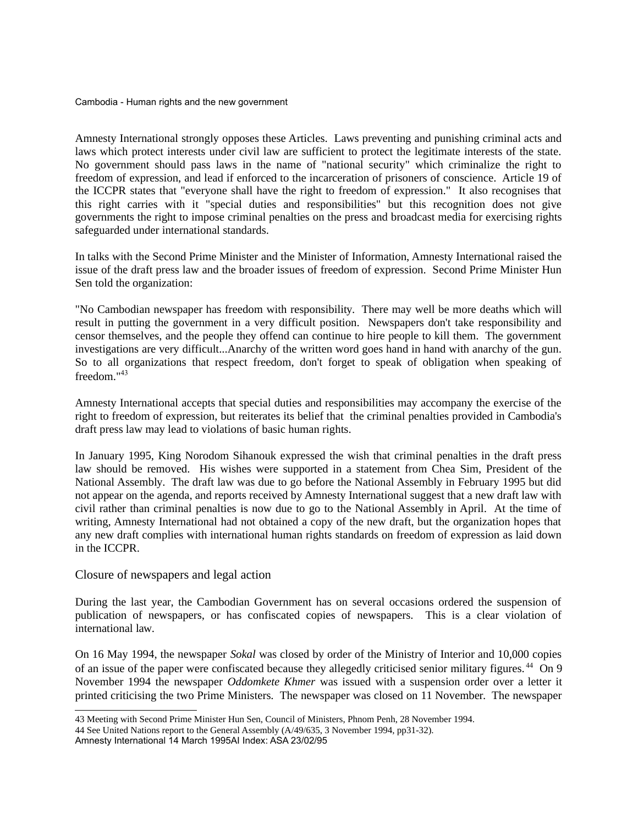Amnesty International strongly opposes these Articles. Laws preventing and punishing criminal acts and laws which protect interests under civil law are sufficient to protect the legitimate interests of the state. No government should pass laws in the name of "national security" which criminalize the right to freedom of expression, and lead if enforced to the incarceration of prisoners of conscience. Article 19 of the ICCPR states that "everyone shall have the right to freedom of expression." It also recognises that this right carries with it "special duties and responsibilities" but this recognition does not give governments the right to impose criminal penalties on the press and broadcast media for exercising rights safeguarded under international standards.

In talks with the Second Prime Minister and the Minister of Information, Amnesty International raised the issue of the draft press law and the broader issues of freedom of expression. Second Prime Minister Hun Sen told the organization:

"No Cambodian newspaper has freedom with responsibility. There may well be more deaths which will result in putting the government in a very difficult position. Newspapers don't take responsibility and censor themselves, and the people they offend can continue to hire people to kill them. The government investigations are very difficult...Anarchy of the written word goes hand in hand with anarchy of the gun. So to all organizations that respect freedom, don't forget to speak of obligation when speaking of freedom."[43](#page-34-0)

Amnesty International accepts that special duties and responsibilities may accompany the exercise of the right to freedom of expression, but reiterates its belief that the criminal penalties provided in Cambodia's draft press law may lead to violations of basic human rights.

In January 1995, King Norodom Sihanouk expressed the wish that criminal penalties in the draft press law should be removed. His wishes were supported in a statement from Chea Sim, President of the National Assembly. The draft law was due to go before the National Assembly in February 1995 but did not appear on the agenda, and reports received by Amnesty International suggest that a new draft law with civil rather than criminal penalties is now due to go to the National Assembly in April. At the time of writing, Amnesty International had not obtained a copy of the new draft, but the organization hopes that any new draft complies with international human rights standards on freedom of expression as laid down in the ICCPR.

## Closure of newspapers and legal action

During the last year, the Cambodian Government has on several occasions ordered the suspension of publication of newspapers, or has confiscated copies of newspapers. This is a clear violation of international law.

On 16 May 1994, the newspaper *Sokal* was closed by order of the Ministry of Interior and 10,000 copies of an issue of the paper were confiscated because they allegedly criticised senior military figures. [44](#page-34-1) On 9 November 1994 the newspaper *Oddomkete Khmer* was issued with a suspension order over a letter it printed criticising the two Prime Ministers. The newspaper was closed on 11 November. The newspaper

<span id="page-34-0"></span><sup>43</sup> Meeting with Second Prime Minister Hun Sen, Council of Ministers, Phnom Penh, 28 November 1994.

<span id="page-34-1"></span><sup>44</sup> See United Nations report to the General Assembly (A/49/635, 3 November 1994, pp31-32).

Amnesty International 14 March 1995AI Index: ASA 23/02/95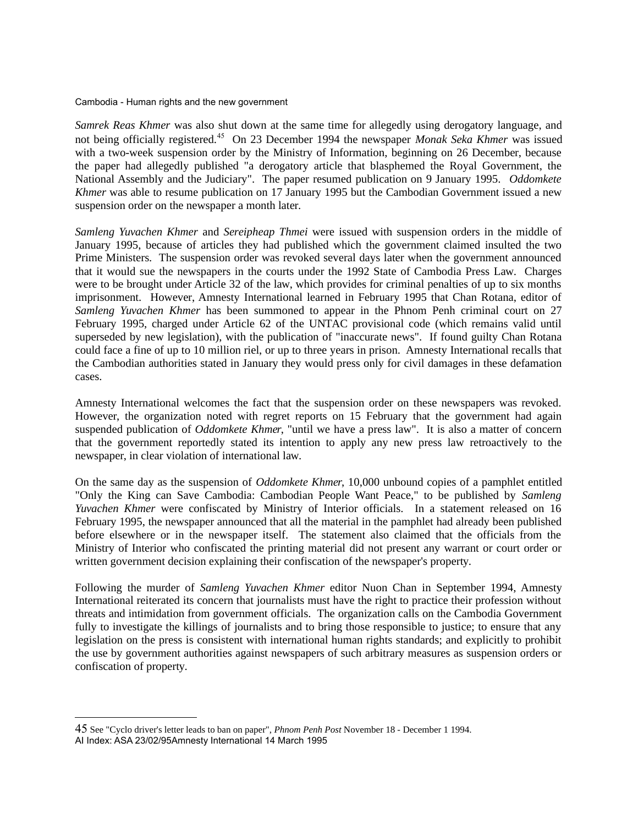*Samrek Reas Khmer* was also shut down at the same time for allegedly using derogatory language, and not being officially registered.[45](#page-35-0) On 23 December 1994 the newspaper *Monak Seka Khmer* was issued with a two-week suspension order by the Ministry of Information, beginning on 26 December, because the paper had allegedly published "a derogatory article that blasphemed the Royal Government, the National Assembly and the Judiciary". The paper resumed publication on 9 January 1995. *Oddomkete Khmer* was able to resume publication on 17 January 1995 but the Cambodian Government issued a new suspension order on the newspaper a month later.

*Samleng Yuvachen Khmer* and *Sereipheap Thmei* were issued with suspension orders in the middle of January 1995, because of articles they had published which the government claimed insulted the two Prime Ministers. The suspension order was revoked several days later when the government announced that it would sue the newspapers in the courts under the 1992 State of Cambodia Press Law. Charges were to be brought under Article 32 of the law, which provides for criminal penalties of up to six months imprisonment. However, Amnesty International learned in February 1995 that Chan Rotana, editor of *Samleng Yuvachen Khmer* has been summoned to appear in the Phnom Penh criminal court on 27 February 1995, charged under Article 62 of the UNTAC provisional code (which remains valid until superseded by new legislation), with the publication of "inaccurate news". If found guilty Chan Rotana could face a fine of up to 10 million riel, or up to three years in prison. Amnesty International recalls that the Cambodian authorities stated in January they would press only for civil damages in these defamation cases.

Amnesty International welcomes the fact that the suspension order on these newspapers was revoked. However, the organization noted with regret reports on 15 February that the government had again suspended publication of *Oddomkete Khmer*, "until we have a press law". It is also a matter of concern that the government reportedly stated its intention to apply any new press law retroactively to the newspaper, in clear violation of international law.

On the same day as the suspension of *Oddomkete Khmer*, 10,000 unbound copies of a pamphlet entitled "Only the King can Save Cambodia: Cambodian People Want Peace," to be published by *Samleng Yuvachen Khmer* were confiscated by Ministry of Interior officials. In a statement released on 16 February 1995, the newspaper announced that all the material in the pamphlet had already been published before elsewhere or in the newspaper itself. The statement also claimed that the officials from the Ministry of Interior who confiscated the printing material did not present any warrant or court order or written government decision explaining their confiscation of the newspaper's property.

Following the murder of *Samleng Yuvachen Khmer* editor Nuon Chan in September 1994, Amnesty International reiterated its concern that journalists must have the right to practice their profession without threats and intimidation from government officials. The organization calls on the Cambodia Government fully to investigate the killings of journalists and to bring those responsible to justice; to ensure that any legislation on the press is consistent with international human rights standards; and explicitly to prohibit the use by government authorities against newspapers of such arbitrary measures as suspension orders or confiscation of property.

<span id="page-35-0"></span><sup>45</sup> See "Cyclo driver's letter leads to ban on paper", *Phnom Penh Post* November 18 - December 1 1994. AI Index: ASA 23/02/95Amnesty International 14 March 1995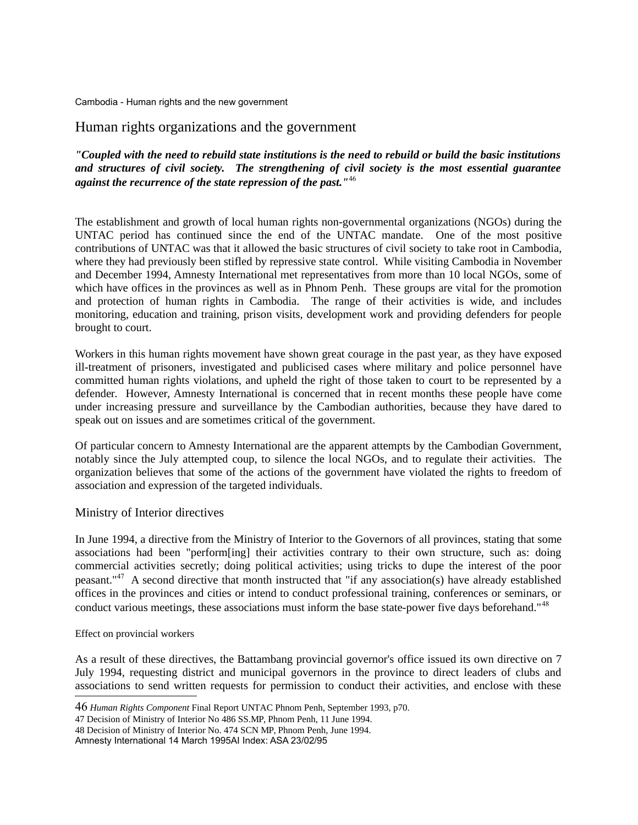# Human rights organizations and the government

*"Coupled with the need to rebuild state institutions is the need to rebuild or build the basic institutions and structures of civil society. The strengthening of civil society is the most essential guarantee against the recurrence of the state repression of the past."*[46](#page-36-0)

The establishment and growth of local human rights non-governmental organizations (NGOs) during the UNTAC period has continued since the end of the UNTAC mandate. One of the most positive contributions of UNTAC was that it allowed the basic structures of civil society to take root in Cambodia, where they had previously been stifled by repressive state control. While visiting Cambodia in November and December 1994, Amnesty International met representatives from more than 10 local NGOs, some of which have offices in the provinces as well as in Phnom Penh. These groups are vital for the promotion and protection of human rights in Cambodia. The range of their activities is wide, and includes monitoring, education and training, prison visits, development work and providing defenders for people brought to court.

Workers in this human rights movement have shown great courage in the past year, as they have exposed ill-treatment of prisoners, investigated and publicised cases where military and police personnel have committed human rights violations, and upheld the right of those taken to court to be represented by a defender. However, Amnesty International is concerned that in recent months these people have come under increasing pressure and surveillance by the Cambodian authorities, because they have dared to speak out on issues and are sometimes critical of the government.

Of particular concern to Amnesty International are the apparent attempts by the Cambodian Government, notably since the July attempted coup, to silence the local NGOs, and to regulate their activities. The organization believes that some of the actions of the government have violated the rights to freedom of association and expression of the targeted individuals.

## Ministry of Interior directives

In June 1994, a directive from the Ministry of Interior to the Governors of all provinces, stating that some associations had been "perform[ing] their activities contrary to their own structure, such as: doing commercial activities secretly; doing political activities; using tricks to dupe the interest of the poor peasant."[47](#page-36-1) A second directive that month instructed that "if any association(s) have already established offices in the provinces and cities or intend to conduct professional training, conferences or seminars, or conduct various meetings, these associations must inform the base state-power five days beforehand."<sup>[48](#page-36-2)</sup>

Effect on provincial workers

As a result of these directives, the Battambang provincial governor's office issued its own directive on 7 July 1994, requesting district and municipal governors in the province to direct leaders of clubs and associations to send written requests for permission to conduct their activities, and enclose with these

Amnesty International 14 March 1995AI Index: ASA 23/02/95

<span id="page-36-0"></span><sup>46</sup> *Human Rights Component* Final Report UNTAC Phnom Penh, September 1993, p70.

<span id="page-36-1"></span><sup>47</sup> Decision of Ministry of Interior No 486 SS.MP, Phnom Penh, 11 June 1994.

<span id="page-36-2"></span><sup>48</sup> Decision of Ministry of Interior No. 474 SCN MP, Phnom Penh, June 1994.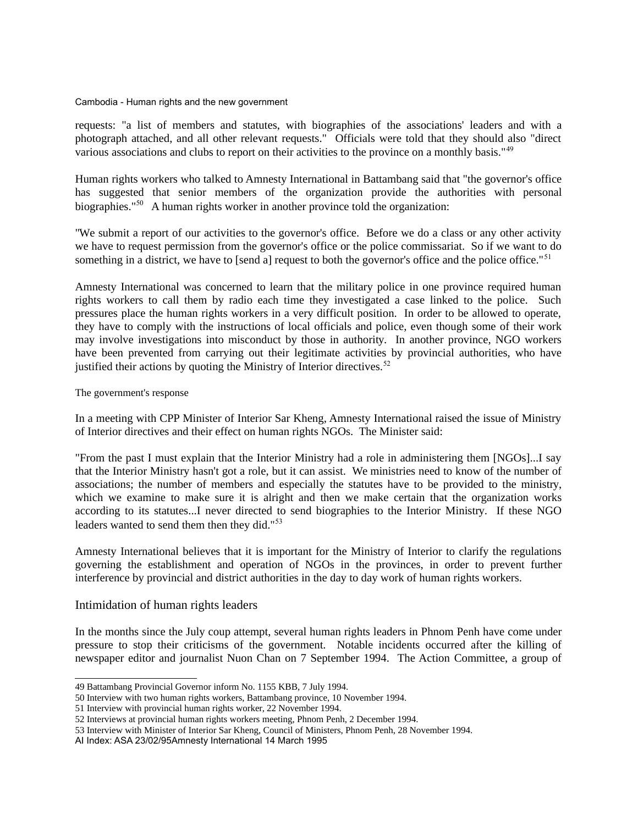requests: "a list of members and statutes, with biographies of the associations' leaders and with a photograph attached, and all other relevant requests." Officials were told that they should also "direct various associations and clubs to report on their activities to the province on a monthly basis."<sup>[49](#page-37-0)</sup>

Human rights workers who talked to Amnesty International in Battambang said that "the governor's office has suggested that senior members of the organization provide the authorities with personal biographies."<sup>[50](#page-37-1)</sup> A human rights worker in another province told the organization:

"We submit a report of our activities to the governor's office. Before we do a class or any other activity we have to request permission from the governor's office or the police commissariat. So if we want to do something in a district, we have to [send a] request to both the governor's office and the police office."<sup>[51](#page-37-2)</sup>

Amnesty International was concerned to learn that the military police in one province required human rights workers to call them by radio each time they investigated a case linked to the police. Such pressures place the human rights workers in a very difficult position. In order to be allowed to operate, they have to comply with the instructions of local officials and police, even though some of their work may involve investigations into misconduct by those in authority. In another province, NGO workers have been prevented from carrying out their legitimate activities by provincial authorities, who have justified their actions by quoting the Ministry of Interior directives.<sup>[52](#page-37-3)</sup>

#### The government's response

In a meeting with CPP Minister of Interior Sar Kheng, Amnesty International raised the issue of Ministry of Interior directives and their effect on human rights NGOs. The Minister said:

"From the past I must explain that the Interior Ministry had a role in administering them [NGOs]...I say that the Interior Ministry hasn't got a role, but it can assist. We ministries need to know of the number of associations; the number of members and especially the statutes have to be provided to the ministry, which we examine to make sure it is alright and then we make certain that the organization works according to its statutes...I never directed to send biographies to the Interior Ministry. If these NGO leaders wanted to send them then they did."<sup>[53](#page-37-4)</sup>

Amnesty International believes that it is important for the Ministry of Interior to clarify the regulations governing the establishment and operation of NGOs in the provinces, in order to prevent further interference by provincial and district authorities in the day to day work of human rights workers.

## Intimidation of human rights leaders

In the months since the July coup attempt, several human rights leaders in Phnom Penh have come under pressure to stop their criticisms of the government. Notable incidents occurred after the killing of newspaper editor and journalist Nuon Chan on 7 September 1994. The Action Committee, a group of

<span id="page-37-0"></span><sup>49</sup> Battambang Provincial Governor inform No. 1155 KBB, 7 July 1994.

<span id="page-37-1"></span><sup>50</sup> Interview with two human rights workers, Battambang province, 10 November 1994.

<span id="page-37-2"></span><sup>51</sup> Interview with provincial human rights worker, 22 November 1994.

<span id="page-37-3"></span><sup>52</sup> Interviews at provincial human rights workers meeting, Phnom Penh, 2 December 1994.

<span id="page-37-4"></span><sup>53</sup> Interview with Minister of Interior Sar Kheng, Council of Ministers, Phnom Penh, 28 November 1994.

AI Index: ASA 23/02/95Amnesty International 14 March 1995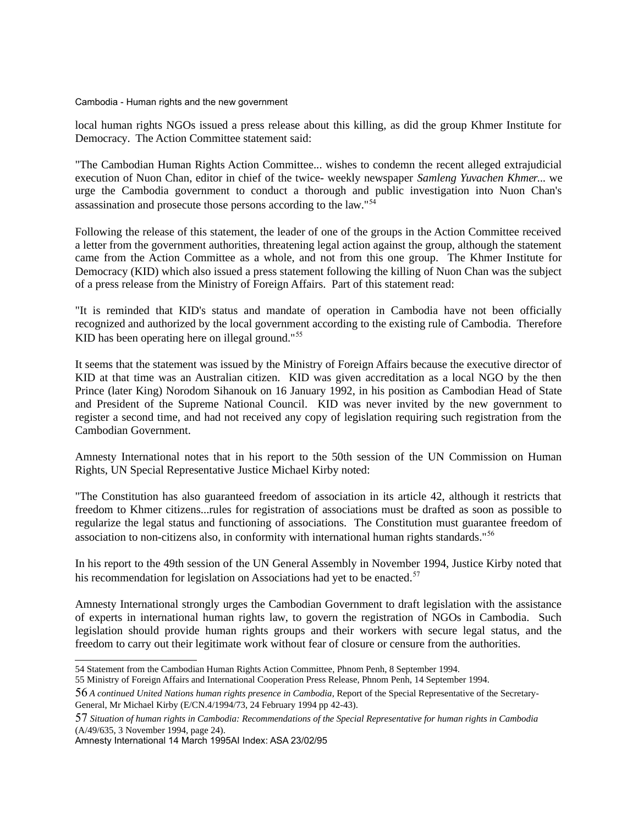local human rights NGOs issued a press release about this killing, as did the group Khmer Institute for Democracy. The Action Committee statement said:

"The Cambodian Human Rights Action Committee... wishes to condemn the recent alleged extrajudicial execution of Nuon Chan, editor in chief of the twice- weekly newspaper *Samleng Yuvachen Khmer*... we urge the Cambodia government to conduct a thorough and public investigation into Nuon Chan's assassination and prosecute those persons according to the law."[54](#page-38-0)

Following the release of this statement, the leader of one of the groups in the Action Committee received a letter from the government authorities, threatening legal action against the group, although the statement came from the Action Committee as a whole, and not from this one group. The Khmer Institute for Democracy (KID) which also issued a press statement following the killing of Nuon Chan was the subject of a press release from the Ministry of Foreign Affairs. Part of this statement read:

"It is reminded that KID's status and mandate of operation in Cambodia have not been officially recognized and authorized by the local government according to the existing rule of Cambodia. Therefore KID has been operating here on illegal ground."<sup>[55](#page-38-1)</sup>

It seems that the statement was issued by the Ministry of Foreign Affairs because the executive director of KID at that time was an Australian citizen. KID was given accreditation as a local NGO by the then Prince (later King) Norodom Sihanouk on 16 January 1992, in his position as Cambodian Head of State and President of the Supreme National Council. KID was never invited by the new government to register a second time, and had not received any copy of legislation requiring such registration from the Cambodian Government.

Amnesty International notes that in his report to the 50th session of the UN Commission on Human Rights, UN Special Representative Justice Michael Kirby noted:

"The Constitution has also guaranteed freedom of association in its article 42, although it restricts that freedom to Khmer citizens...rules for registration of associations must be drafted as soon as possible to regularize the legal status and functioning of associations. The Constitution must guarantee freedom of association to non-citizens also, in conformity with international human rights standards."[56](#page-38-2)

In his report to the 49th session of the UN General Assembly in November 1994, Justice Kirby noted that his recommendation for legislation on Associations had yet to be enacted.<sup>[57](#page-38-3)</sup>

Amnesty International strongly urges the Cambodian Government to draft legislation with the assistance of experts in international human rights law, to govern the registration of NGOs in Cambodia. Such legislation should provide human rights groups and their workers with secure legal status, and the freedom to carry out their legitimate work without fear of closure or censure from the authorities.

Amnesty International 14 March 1995AI Index: ASA 23/02/95

<span id="page-38-0"></span><sup>54</sup> Statement from the Cambodian Human Rights Action Committee, Phnom Penh, 8 September 1994.

<span id="page-38-1"></span><sup>55</sup> Ministry of Foreign Affairs and International Cooperation Press Release, Phnom Penh, 14 September 1994.

<span id="page-38-2"></span><sup>56</sup> *A continued United Nations human rights presence in Cambodia*, Report of the Special Representative of the Secretary-General, Mr Michael Kirby (E/CN.4/1994/73, 24 February 1994 pp 42-43).

<span id="page-38-3"></span><sup>57</sup> *Situation of human rights in Cambodia: Recommendations of the Special Representative for human rights in Cambodia* (A/49/635, 3 November 1994, page 24).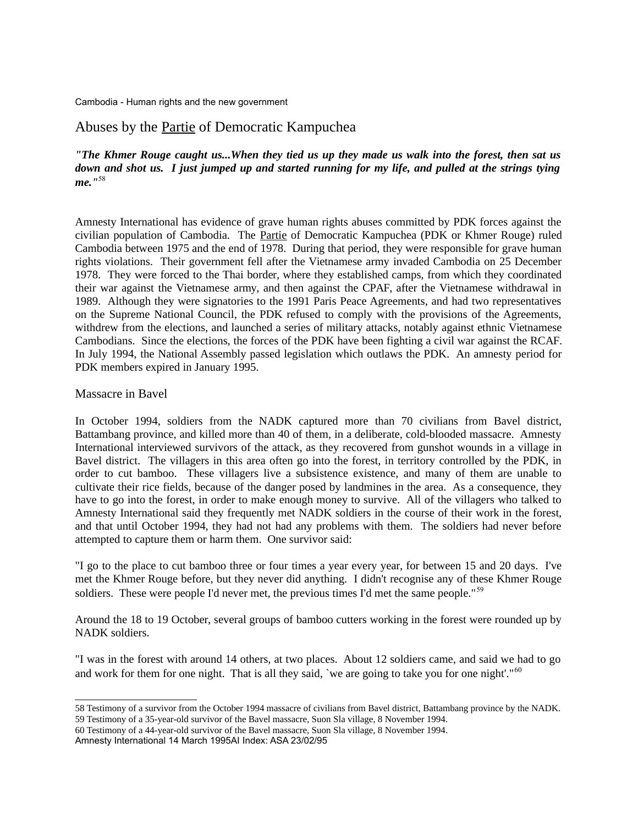# Abuses by the Partie of Democratic Kampuchea

*"The Khmer Rouge caught us...When they tied us up they made us walk into the forest, then sat us down and shot us. I just jumped up and started running for my life, and pulled at the strings tying me."*[58](#page-40-0)

Amnesty International has evidence of grave human rights abuses committed by PDK forces against the civilian population of Cambodia. The Partie of Democratic Kampuchea (PDK or Khmer Rouge) ruled Cambodia between 1975 and the end of 1978. During that period, they were responsible for grave human rights violations. Their government fell after the Vietnamese army invaded Cambodia on 25 December 1978. They were forced to the Thai border, where they established camps, from which they coordinated their war against the Vietnamese army, and then against the CPAF, after the Vietnamese withdrawal in 1989. Although they were signatories to the 1991 Paris Peace Agreements, and had two representatives on the Supreme National Council, the PDK refused to comply with the provisions of the Agreements, withdrew from the elections, and launched a series of military attacks, notably against ethnic Vietnamese Cambodians. Since the elections, the forces of the PDK have been fighting a civil war against the RCAF. In July 1994, the National Assembly passed legislation which outlaws the PDK. An amnesty period for PDK members expired in January 1995.

## Massacre in Bavel

In October 1994, soldiers from the NADK captured more than 70 civilians from Bavel district, Battambang province, and killed more than 40 of them, in a deliberate, cold-blooded massacre. Amnesty International interviewed survivors of the attack, as they recovered from gunshot wounds in a village in Bavel district. The villagers in this area often go into the forest, in territory controlled by the PDK, in order to cut bamboo. These villagers live a subsistence existence, and many of them are unable to cultivate their rice fields, because of the danger posed by landmines in the area. As a consequence, they have to go into the forest, in order to make enough money to survive. All of the villagers who talked to Amnesty International said they frequently met NADK soldiers in the course of their work in the forest, and that until October 1994, they had not had any problems with them. The soldiers had never before attempted to capture them or harm them. One survivor said:

"I go to the place to cut bamboo three or four times a year every year, for between 15 and 20 days. I've met the Khmer Rouge before, but they never did anything. I didn't recognise any of these Khmer Rouge soldiers. These were people I'd never met, the previous times I'd met the same people."<sup>[59](#page-40-1)</sup>

Around the 18 to 19 October, several groups of bamboo cutters working in the forest were rounded up by NADK soldiers.

"I was in the forest with around 14 others, at two places. About 12 soldiers came, and said we had to go and work for them for one night. That is all they said, `we are going to take you for one night'."<sup>[60](#page-40-2)</sup>

Amnesty International 14 March 1995AI Index: ASA 23/02/95

<span id="page-40-1"></span><span id="page-40-0"></span><sup>58</sup> Testimony of a survivor from the October 1994 massacre of civilians from Bavel district, Battambang province by the NADK. 59 Testimony of a 35-year-old survivor of the Bavel massacre, Suon Sla village, 8 November 1994.

<span id="page-40-2"></span><sup>60</sup> Testimony of a 44-year-old survivor of the Bavel massacre, Suon Sla village, 8 November 1994.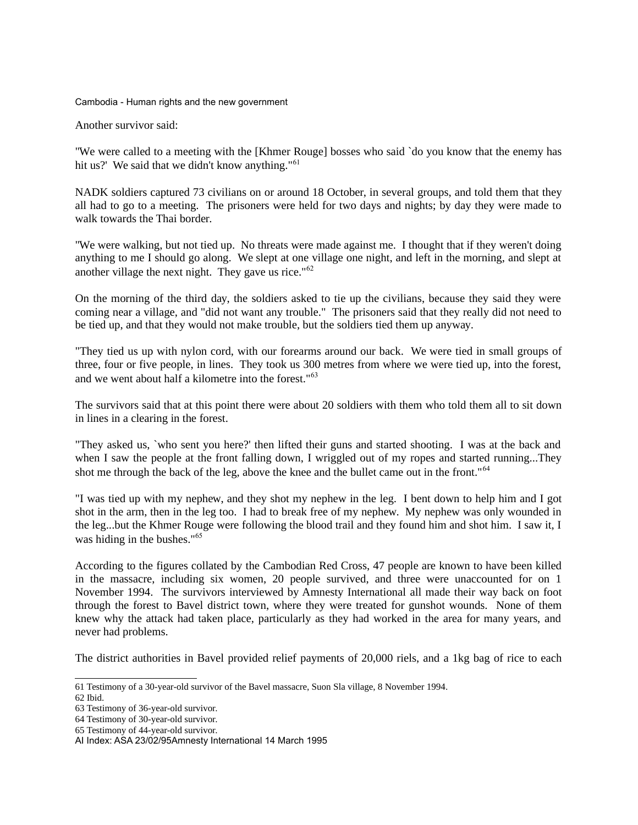Another survivor said:

"We were called to a meeting with the [Khmer Rouge] bosses who said `do you know that the enemy has hit us?' We said that we didn't know anything."<sup>[61](#page-41-0)</sup>

NADK soldiers captured 73 civilians on or around 18 October, in several groups, and told them that they all had to go to a meeting. The prisoners were held for two days and nights; by day they were made to walk towards the Thai border.

"We were walking, but not tied up. No threats were made against me. I thought that if they weren't doing anything to me I should go along. We slept at one village one night, and left in the morning, and slept at another village the next night. They gave us rice."[62](#page-41-1)

On the morning of the third day, the soldiers asked to tie up the civilians, because they said they were coming near a village, and "did not want any trouble." The prisoners said that they really did not need to be tied up, and that they would not make trouble, but the soldiers tied them up anyway.

"They tied us up with nylon cord, with our forearms around our back. We were tied in small groups of three, four or five people, in lines. They took us 300 metres from where we were tied up, into the forest, and we went about half a kilometre into the forest."[63](#page-41-2)

The survivors said that at this point there were about 20 soldiers with them who told them all to sit down in lines in a clearing in the forest.

"They asked us, `who sent you here?' then lifted their guns and started shooting. I was at the back and when I saw the people at the front falling down, I wriggled out of my ropes and started running...They shot me through the back of the leg, above the knee and the bullet came out in the front."<sup>[64](#page-41-3)</sup>

"I was tied up with my nephew, and they shot my nephew in the leg. I bent down to help him and I got shot in the arm, then in the leg too. I had to break free of my nephew. My nephew was only wounded in the leg...but the Khmer Rouge were following the blood trail and they found him and shot him. I saw it, I was hiding in the bushes."[65](#page-41-4)

According to the figures collated by the Cambodian Red Cross, 47 people are known to have been killed in the massacre, including six women, 20 people survived, and three were unaccounted for on 1 November 1994. The survivors interviewed by Amnesty International all made their way back on foot through the forest to Bavel district town, where they were treated for gunshot wounds. None of them knew why the attack had taken place, particularly as they had worked in the area for many years, and never had problems.

The district authorities in Bavel provided relief payments of 20,000 riels, and a 1kg bag of rice to each

<span id="page-41-0"></span><sup>61</sup> Testimony of a 30-year-old survivor of the Bavel massacre, Suon Sla village, 8 November 1994.

<span id="page-41-1"></span><sup>62</sup> Ibid.

<span id="page-41-2"></span><sup>63</sup> Testimony of 36-year-old survivor.

<span id="page-41-3"></span><sup>64</sup> Testimony of 30-year-old survivor.

<span id="page-41-4"></span><sup>65</sup> Testimony of 44-year-old survivor.

AI Index: ASA 23/02/95Amnesty International 14 March 1995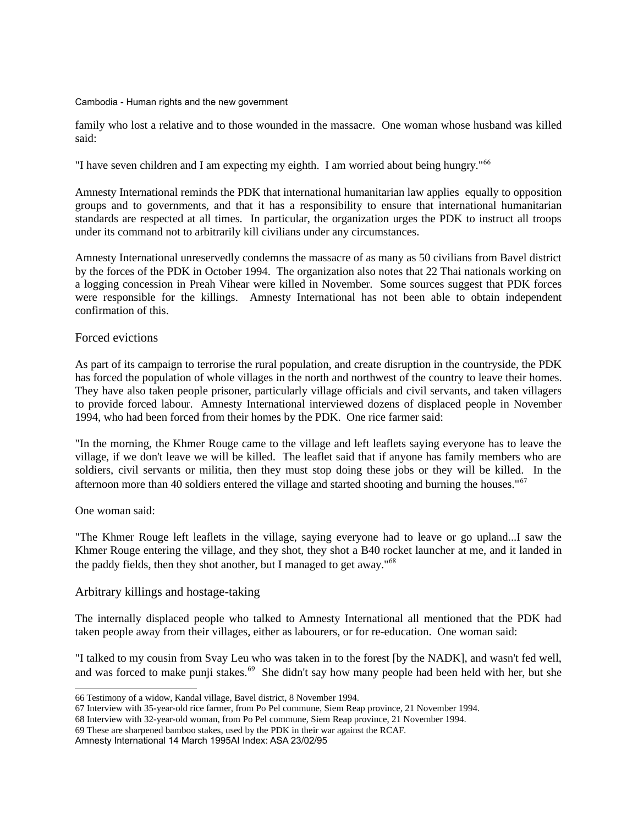family who lost a relative and to those wounded in the massacre. One woman whose husband was killed said:

"I have seven children and I am expecting my eighth. I am worried about being hungry."<sup>[66](#page-42-0)</sup>

Amnesty International reminds the PDK that international humanitarian law applies equally to opposition groups and to governments, and that it has a responsibility to ensure that international humanitarian standards are respected at all times. In particular, the organization urges the PDK to instruct all troops under its command not to arbitrarily kill civilians under any circumstances.

Amnesty International unreservedly condemns the massacre of as many as 50 civilians from Bavel district by the forces of the PDK in October 1994. The organization also notes that 22 Thai nationals working on a logging concession in Preah Vihear were killed in November. Some sources suggest that PDK forces were responsible for the killings. Amnesty International has not been able to obtain independent confirmation of this.

## Forced evictions

As part of its campaign to terrorise the rural population, and create disruption in the countryside, the PDK has forced the population of whole villages in the north and northwest of the country to leave their homes. They have also taken people prisoner, particularly village officials and civil servants, and taken villagers to provide forced labour. Amnesty International interviewed dozens of displaced people in November 1994, who had been forced from their homes by the PDK. One rice farmer said:

"In the morning, the Khmer Rouge came to the village and left leaflets saying everyone has to leave the village, if we don't leave we will be killed. The leaflet said that if anyone has family members who are soldiers, civil servants or militia, then they must stop doing these jobs or they will be killed. In the afternoon more than 40 soldiers entered the village and started shooting and burning the houses."<sup>[67](#page-42-1)</sup>

## One woman said:

"The Khmer Rouge left leaflets in the village, saying everyone had to leave or go upland...I saw the Khmer Rouge entering the village, and they shot, they shot a B40 rocket launcher at me, and it landed in the paddy fields, then they shot another, but I managed to get away."[68](#page-42-2)

## Arbitrary killings and hostage-taking

The internally displaced people who talked to Amnesty International all mentioned that the PDK had taken people away from their villages, either as labourers, or for re-education. One woman said:

"I talked to my cousin from Svay Leu who was taken in to the forest [by the NADK], and wasn't fed well, and was forced to make punji stakes.<sup>[69](#page-42-3)</sup> She didn't say how many people had been held with her, but she

<span id="page-42-0"></span><sup>66</sup> Testimony of a widow, Kandal village, Bavel district, 8 November 1994.

<span id="page-42-1"></span><sup>67</sup> Interview with 35-year-old rice farmer, from Po Pel commune, Siem Reap province, 21 November 1994.

<span id="page-42-2"></span><sup>68</sup> Interview with 32-year-old woman, from Po Pel commune, Siem Reap province, 21 November 1994.

<span id="page-42-3"></span><sup>69</sup> These are sharpened bamboo stakes, used by the PDK in their war against the RCAF.

Amnesty International 14 March 1995AI Index: ASA 23/02/95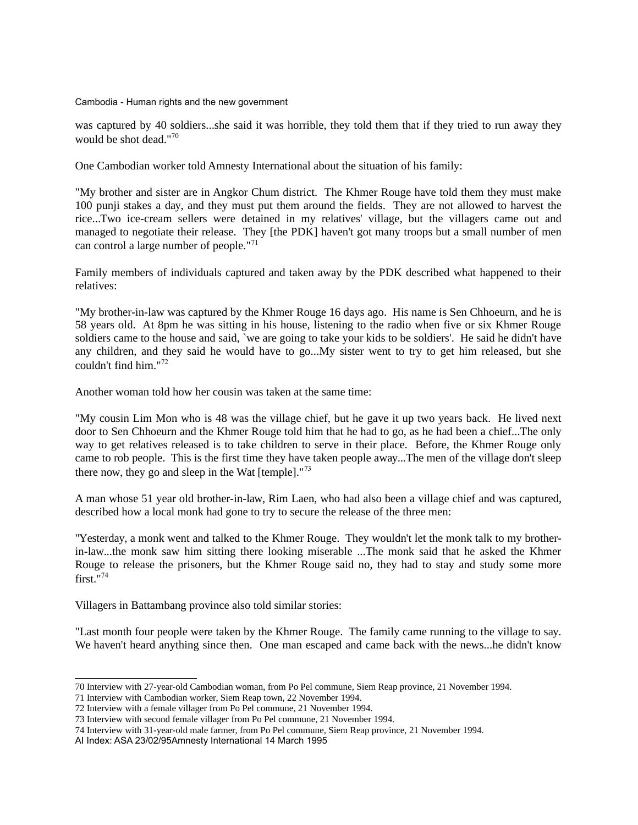was captured by 40 soldiers...she said it was horrible, they told them that if they tried to run away they would be shot dead."[70](#page-43-0)

One Cambodian worker told Amnesty International about the situation of his family:

"My brother and sister are in Angkor Chum district. The Khmer Rouge have told them they must make 100 punji stakes a day, and they must put them around the fields. They are not allowed to harvest the rice...Two ice-cream sellers were detained in my relatives' village, but the villagers came out and managed to negotiate their release. They [the PDK] haven't got many troops but a small number of men can control a large number of people."[71](#page-43-1)

Family members of individuals captured and taken away by the PDK described what happened to their relatives:

"My brother-in-law was captured by the Khmer Rouge 16 days ago. His name is Sen Chhoeurn, and he is 58 years old. At 8pm he was sitting in his house, listening to the radio when five or six Khmer Rouge soldiers came to the house and said, `we are going to take your kids to be soldiers'. He said he didn't have any children, and they said he would have to go...My sister went to try to get him released, but she couldn't find him."[72](#page-43-2)

Another woman told how her cousin was taken at the same time:

"My cousin Lim Mon who is 48 was the village chief, but he gave it up two years back. He lived next door to Sen Chhoeurn and the Khmer Rouge told him that he had to go, as he had been a chief...The only way to get relatives released is to take children to serve in their place. Before, the Khmer Rouge only came to rob people. This is the first time they have taken people away...The men of the village don't sleep there now, they go and sleep in the Wat  $[$ temple $]$ ."<sup>[73](#page-43-3)</sup>

A man whose 51 year old brother-in-law, Rim Laen, who had also been a village chief and was captured, described how a local monk had gone to try to secure the release of the three men:

"Yesterday, a monk went and talked to the Khmer Rouge. They wouldn't let the monk talk to my brotherin-law...the monk saw him sitting there looking miserable ...The monk said that he asked the Khmer Rouge to release the prisoners, but the Khmer Rouge said no, they had to stay and study some more first." $74$ 

Villagers in Battambang province also told similar stories:

"Last month four people were taken by the Khmer Rouge. The family came running to the village to say. We haven't heard anything since then. One man escaped and came back with the news...he didn't know

<span id="page-43-0"></span><sup>70</sup> Interview with 27-year-old Cambodian woman, from Po Pel commune, Siem Reap province, 21 November 1994.

<span id="page-43-1"></span><sup>71</sup> Interview with Cambodian worker, Siem Reap town, 22 November 1994.

<span id="page-43-2"></span><sup>72</sup> Interview with a female villager from Po Pel commune, 21 November 1994.

<span id="page-43-3"></span><sup>73</sup> Interview with second female villager from Po Pel commune, 21 November 1994.

<span id="page-43-4"></span><sup>74</sup> Interview with 31-year-old male farmer, from Po Pel commune, Siem Reap province, 21 November 1994.

AI Index: ASA 23/02/95Amnesty International 14 March 1995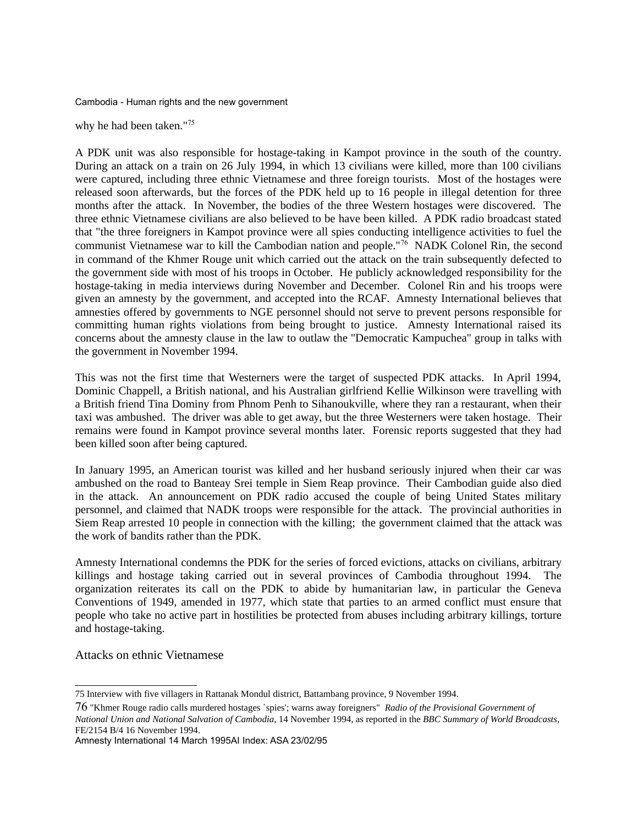why he had been taken."<sup>[75](#page-44-0)</sup>

A PDK unit was also responsible for hostage-taking in Kampot province in the south of the country. During an attack on a train on 26 July 1994, in which 13 civilians were killed, more than 100 civilians were captured, including three ethnic Vietnamese and three foreign tourists. Most of the hostages were released soon afterwards, but the forces of the PDK held up to 16 people in illegal detention for three months after the attack. In November, the bodies of the three Western hostages were discovered. The three ethnic Vietnamese civilians are also believed to be have been killed. A PDK radio broadcast stated that "the three foreigners in Kampot province were all spies conducting intelligence activities to fuel the communist Vietnamese war to kill the Cambodian nation and people."[76](#page-44-1) NADK Colonel Rin, the second in command of the Khmer Rouge unit which carried out the attack on the train subsequently defected to the government side with most of his troops in October. He publicly acknowledged responsibility for the hostage-taking in media interviews during November and December. Colonel Rin and his troops were given an amnesty by the government, and accepted into the RCAF. Amnesty International believes that amnesties offered by governments to NGE personnel should not serve to prevent persons responsible for committing human rights violations from being brought to justice. Amnesty International raised its concerns about the amnesty clause in the law to outlaw the "Democratic Kampuchea" group in talks with the government in November 1994.

This was not the first time that Westerners were the target of suspected PDK attacks. In April 1994, Dominic Chappell, a British national, and his Australian girlfriend Kellie Wilkinson were travelling with a British friend Tina Dominy from Phnom Penh to Sihanoukville, where they ran a restaurant, when their taxi was ambushed. The driver was able to get away, but the three Westerners were taken hostage. Their remains were found in Kampot province several months later. Forensic reports suggested that they had been killed soon after being captured.

In January 1995, an American tourist was killed and her husband seriously injured when their car was ambushed on the road to Banteay Srei temple in Siem Reap province. Their Cambodian guide also died in the attack. An announcement on PDK radio accused the couple of being United States military personnel, and claimed that NADK troops were responsible for the attack. The provincial authorities in Siem Reap arrested 10 people in connection with the killing; the government claimed that the attack was the work of bandits rather than the PDK.

Amnesty International condemns the PDK for the series of forced evictions, attacks on civilians, arbitrary killings and hostage taking carried out in several provinces of Cambodia throughout 1994. The organization reiterates its call on the PDK to abide by humanitarian law, in particular the Geneva Conventions of 1949, amended in 1977, which state that parties to an armed conflict must ensure that people who take no active part in hostilities be protected from abuses including arbitrary killings, torture and hostage-taking.

Attacks on ethnic Vietnamese

<span id="page-44-0"></span><sup>75</sup> Interview with five villagers in Rattanak Mondul district, Battambang province, 9 November 1994.

<span id="page-44-1"></span><sup>76</sup> "Khmer Rouge radio calls murdered hostages `spies'; warns away foreigners" *Radio of the Provisional Government of National Union and National Salvation of Cambodia*, 14 November 1994, as reported in the *BBC Summary of World Broadcasts*, FE/2154 B/4 16 November 1994.

Amnesty International 14 March 1995AI Index: ASA 23/02/95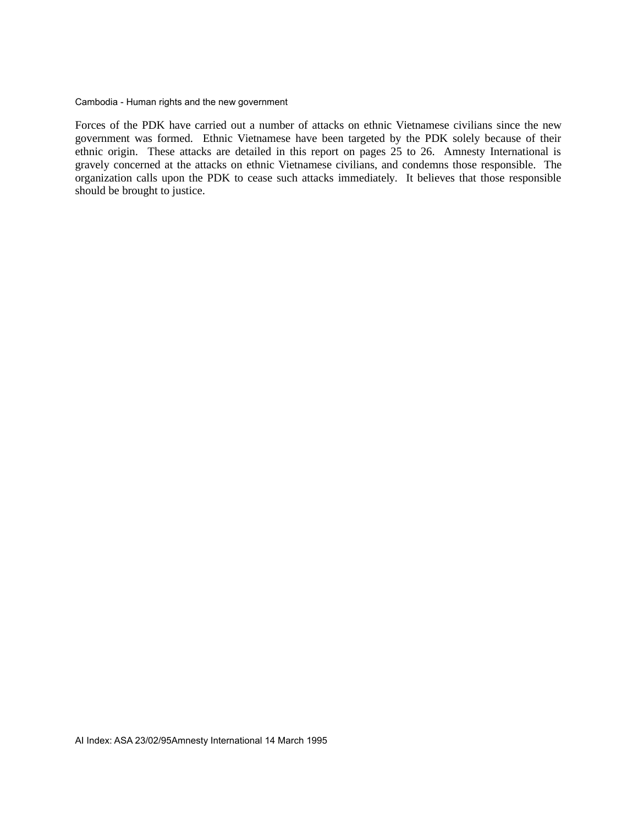Forces of the PDK have carried out a number of attacks on ethnic Vietnamese civilians since the new government was formed. Ethnic Vietnamese have been targeted by the PDK solely because of their ethnic origin. These attacks are detailed in this report on pages 25 to 26. Amnesty International is gravely concerned at the attacks on ethnic Vietnamese civilians, and condemns those responsible. The organization calls upon the PDK to cease such attacks immediately. It believes that those responsible should be brought to justice.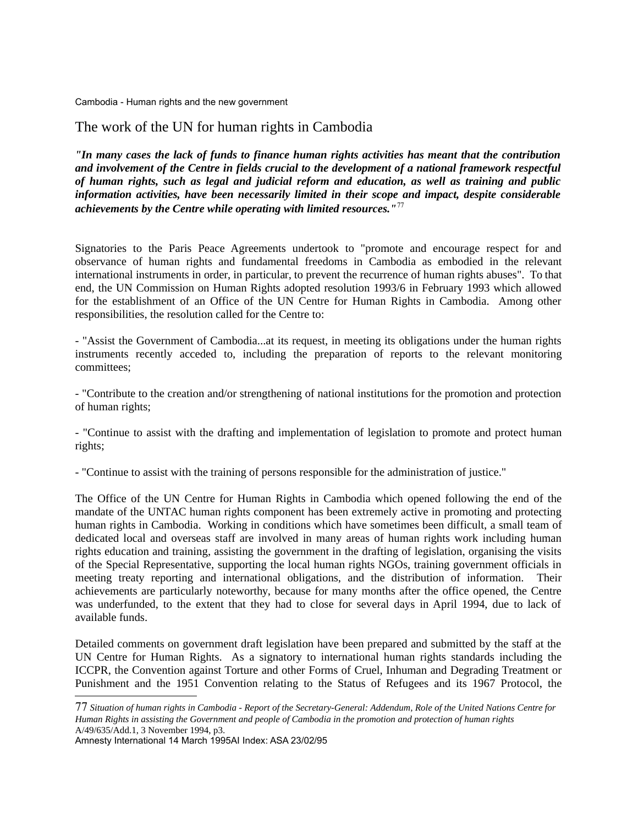# The work of the UN for human rights in Cambodia

*"In many cases the lack of funds to finance human rights activities has meant that the contribution and involvement of the Centre in fields crucial to the development of a national framework respectful of human rights, such as legal and judicial reform and education, as well as training and public information activities, have been necessarily limited in their scope and impact, despite considerable achievements by the Centre while operating with limited resources."*[77](#page-46-0)

Signatories to the Paris Peace Agreements undertook to "promote and encourage respect for and observance of human rights and fundamental freedoms in Cambodia as embodied in the relevant international instruments in order, in particular, to prevent the recurrence of human rights abuses". To that end, the UN Commission on Human Rights adopted resolution 1993/6 in February 1993 which allowed for the establishment of an Office of the UN Centre for Human Rights in Cambodia. Among other responsibilities, the resolution called for the Centre to:

- "Assist the Government of Cambodia...at its request, in meeting its obligations under the human rights instruments recently acceded to, including the preparation of reports to the relevant monitoring committees;

- "Contribute to the creation and/or strengthening of national institutions for the promotion and protection of human rights;

- "Continue to assist with the drafting and implementation of legislation to promote and protect human rights;

- "Continue to assist with the training of persons responsible for the administration of justice."

The Office of the UN Centre for Human Rights in Cambodia which opened following the end of the mandate of the UNTAC human rights component has been extremely active in promoting and protecting human rights in Cambodia. Working in conditions which have sometimes been difficult, a small team of dedicated local and overseas staff are involved in many areas of human rights work including human rights education and training, assisting the government in the drafting of legislation, organising the visits of the Special Representative, supporting the local human rights NGOs, training government officials in meeting treaty reporting and international obligations, and the distribution of information. Their achievements are particularly noteworthy, because for many months after the office opened, the Centre was underfunded, to the extent that they had to close for several days in April 1994, due to lack of available funds.

Detailed comments on government draft legislation have been prepared and submitted by the staff at the UN Centre for Human Rights. As a signatory to international human rights standards including the ICCPR, the Convention against Torture and other Forms of Cruel, Inhuman and Degrading Treatment or Punishment and the 1951 Convention relating to the Status of Refugees and its 1967 Protocol, the

Amnesty International 14 March 1995AI Index: ASA 23/02/95

<span id="page-46-0"></span><sup>77</sup> *Situation of human rights in Cambodia - Report of the Secretary-General: Addendum, Role of the United Nations Centre for Human Rights in assisting the Government and people of Cambodia in the promotion and protection of human rights* A/49/635/Add.1, 3 November 1994, p3.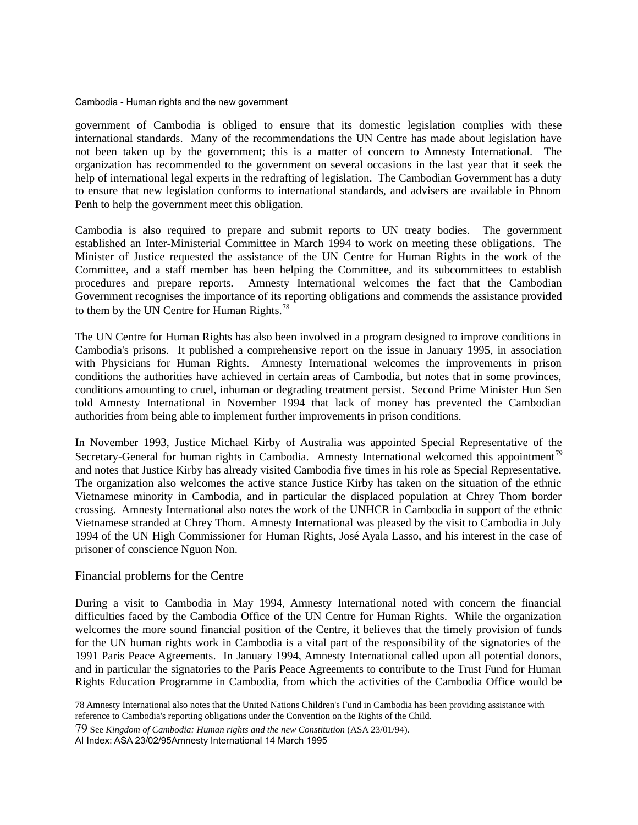government of Cambodia is obliged to ensure that its domestic legislation complies with these international standards. Many of the recommendations the UN Centre has made about legislation have not been taken up by the government; this is a matter of concern to Amnesty International. The organization has recommended to the government on several occasions in the last year that it seek the help of international legal experts in the redrafting of legislation. The Cambodian Government has a duty to ensure that new legislation conforms to international standards, and advisers are available in Phnom Penh to help the government meet this obligation.

Cambodia is also required to prepare and submit reports to UN treaty bodies. The government established an Inter-Ministerial Committee in March 1994 to work on meeting these obligations. The Minister of Justice requested the assistance of the UN Centre for Human Rights in the work of the Committee, and a staff member has been helping the Committee, and its subcommittees to establish procedures and prepare reports. Amnesty International welcomes the fact that the Cambodian Government recognises the importance of its reporting obligations and commends the assistance provided to them by the UN Centre for Human Rights. $78$ 

The UN Centre for Human Rights has also been involved in a program designed to improve conditions in Cambodia's prisons. It published a comprehensive report on the issue in January 1995, in association with Physicians for Human Rights. Amnesty International welcomes the improvements in prison conditions the authorities have achieved in certain areas of Cambodia, but notes that in some provinces, conditions amounting to cruel, inhuman or degrading treatment persist. Second Prime Minister Hun Sen told Amnesty International in November 1994 that lack of money has prevented the Cambodian authorities from being able to implement further improvements in prison conditions.

In November 1993, Justice Michael Kirby of Australia was appointed Special Representative of the Secretary-General for human rights in Cambodia. Amnesty International welcomed this appointment<sup>[79](#page-47-1)</sup> and notes that Justice Kirby has already visited Cambodia five times in his role as Special Representative. The organization also welcomes the active stance Justice Kirby has taken on the situation of the ethnic Vietnamese minority in Cambodia, and in particular the displaced population at Chrey Thom border crossing. Amnesty International also notes the work of the UNHCR in Cambodia in support of the ethnic Vietnamese stranded at Chrey Thom. Amnesty International was pleased by the visit to Cambodia in July 1994 of the UN High Commissioner for Human Rights, José Ayala Lasso, and his interest in the case of prisoner of conscience Nguon Non.

## Financial problems for the Centre

During a visit to Cambodia in May 1994, Amnesty International noted with concern the financial difficulties faced by the Cambodia Office of the UN Centre for Human Rights. While the organization welcomes the more sound financial position of the Centre, it believes that the timely provision of funds for the UN human rights work in Cambodia is a vital part of the responsibility of the signatories of the 1991 Paris Peace Agreements. In January 1994, Amnesty International called upon all potential donors, and in particular the signatories to the Paris Peace Agreements to contribute to the Trust Fund for Human Rights Education Programme in Cambodia, from which the activities of the Cambodia Office would be

AI Index: ASA 23/02/95Amnesty International 14 March 1995

<span id="page-47-0"></span><sup>78</sup> Amnesty International also notes that the United Nations Children's Fund in Cambodia has been providing assistance with reference to Cambodia's reporting obligations under the Convention on the Rights of the Child.

<span id="page-47-1"></span><sup>79</sup> See *Kingdom of Cambodia: Human rights and the new Constitution* (ASA 23/01/94).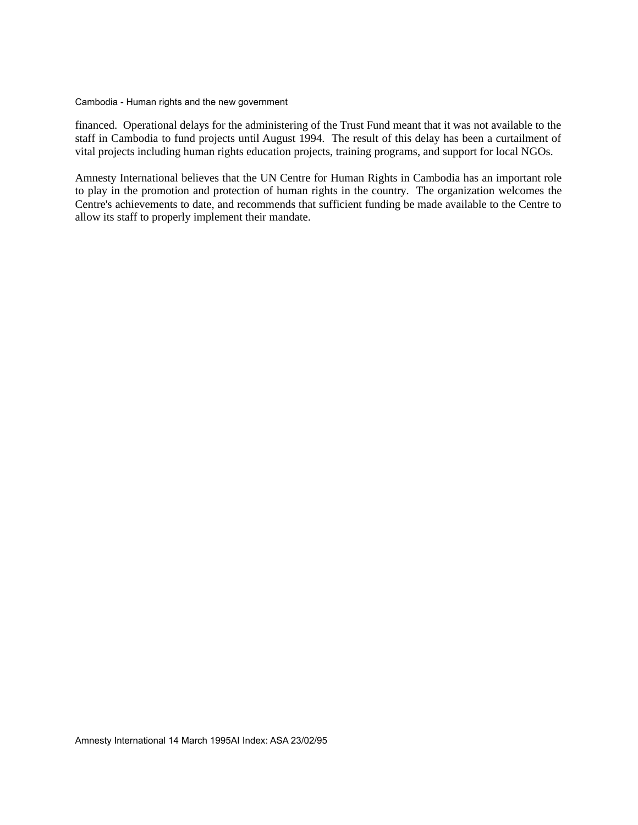financed. Operational delays for the administering of the Trust Fund meant that it was not available to the staff in Cambodia to fund projects until August 1994. The result of this delay has been a curtailment of vital projects including human rights education projects, training programs, and support for local NGOs.

Amnesty International believes that the UN Centre for Human Rights in Cambodia has an important role to play in the promotion and protection of human rights in the country. The organization welcomes the Centre's achievements to date, and recommends that sufficient funding be made available to the Centre to allow its staff to properly implement their mandate.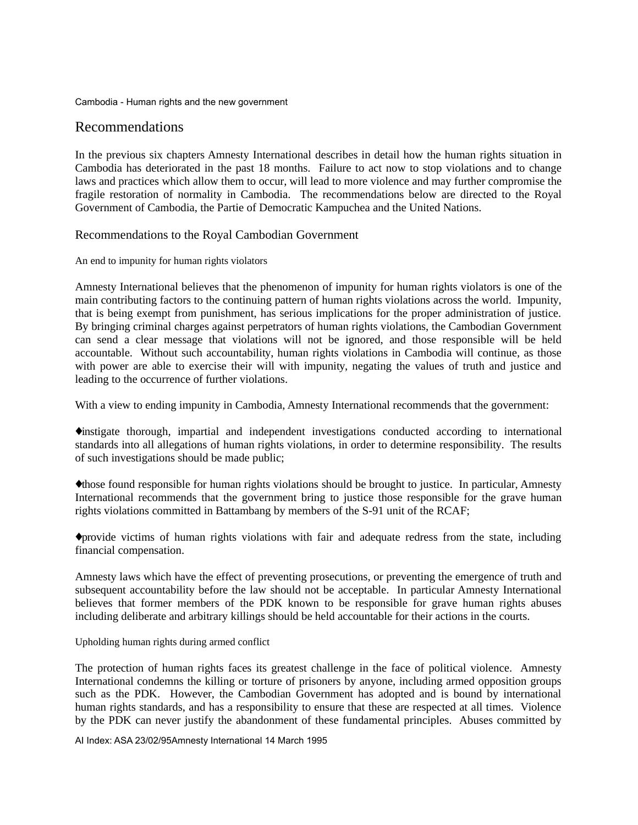# Recommendations

In the previous six chapters Amnesty International describes in detail how the human rights situation in Cambodia has deteriorated in the past 18 months. Failure to act now to stop violations and to change laws and practices which allow them to occur, will lead to more violence and may further compromise the fragile restoration of normality in Cambodia. The recommendations below are directed to the Royal Government of Cambodia, the Partie of Democratic Kampuchea and the United Nations.

## Recommendations to the Royal Cambodian Government

An end to impunity for human rights violators

Amnesty International believes that the phenomenon of impunity for human rights violators is one of the main contributing factors to the continuing pattern of human rights violations across the world. Impunity, that is being exempt from punishment, has serious implications for the proper administration of justice. By bringing criminal charges against perpetrators of human rights violations, the Cambodian Government can send a clear message that violations will not be ignored, and those responsible will be held accountable. Without such accountability, human rights violations in Cambodia will continue, as those with power are able to exercise their will with impunity, negating the values of truth and justice and leading to the occurrence of further violations.

With a view to ending impunity in Cambodia, Amnesty International recommends that the government:

♦instigate thorough, impartial and independent investigations conducted according to international standards into all allegations of human rights violations, in order to determine responsibility. The results of such investigations should be made public;

♦those found responsible for human rights violations should be brought to justice. In particular, Amnesty International recommends that the government bring to justice those responsible for the grave human rights violations committed in Battambang by members of the S-91 unit of the RCAF;

♦provide victims of human rights violations with fair and adequate redress from the state, including financial compensation.

Amnesty laws which have the effect of preventing prosecutions, or preventing the emergence of truth and subsequent accountability before the law should not be acceptable. In particular Amnesty International believes that former members of the PDK known to be responsible for grave human rights abuses including deliberate and arbitrary killings should be held accountable for their actions in the courts.

Upholding human rights during armed conflict

The protection of human rights faces its greatest challenge in the face of political violence. Amnesty International condemns the killing or torture of prisoners by anyone, including armed opposition groups such as the PDK. However, the Cambodian Government has adopted and is bound by international human rights standards, and has a responsibility to ensure that these are respected at all times. Violence by the PDK can never justify the abandonment of these fundamental principles. Abuses committed by

AI Index: ASA 23/02/95Amnesty International 14 March 1995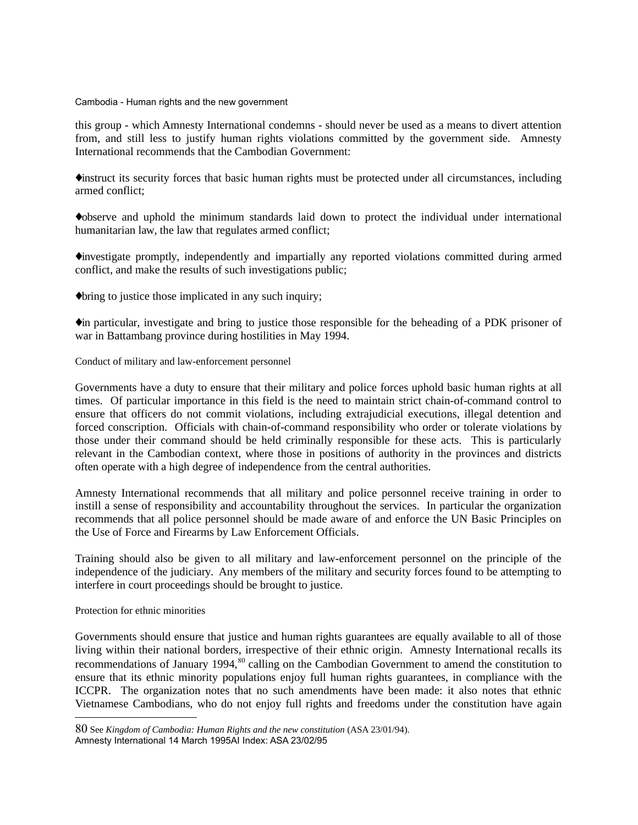this group - which Amnesty International condemns - should never be used as a means to divert attention from, and still less to justify human rights violations committed by the government side. Amnesty International recommends that the Cambodian Government:

♦instruct its security forces that basic human rights must be protected under all circumstances, including armed conflict;

♦observe and uphold the minimum standards laid down to protect the individual under international humanitarian law, the law that regulates armed conflict:

♦investigate promptly, independently and impartially any reported violations committed during armed conflict, and make the results of such investigations public;

♦bring to justice those implicated in any such inquiry;

♦in particular, investigate and bring to justice those responsible for the beheading of a PDK prisoner of war in Battambang province during hostilities in May 1994.

Conduct of military and law-enforcement personnel

Governments have a duty to ensure that their military and police forces uphold basic human rights at all times. Of particular importance in this field is the need to maintain strict chain-of-command control to ensure that officers do not commit violations, including extrajudicial executions, illegal detention and forced conscription. Officials with chain-of-command responsibility who order or tolerate violations by those under their command should be held criminally responsible for these acts. This is particularly relevant in the Cambodian context, where those in positions of authority in the provinces and districts often operate with a high degree of independence from the central authorities.

Amnesty International recommends that all military and police personnel receive training in order to instill a sense of responsibility and accountability throughout the services. In particular the organization recommends that all police personnel should be made aware of and enforce the UN Basic Principles on the Use of Force and Firearms by Law Enforcement Officials.

Training should also be given to all military and law-enforcement personnel on the principle of the independence of the judiciary. Any members of the military and security forces found to be attempting to interfere in court proceedings should be brought to justice.

Protection for ethnic minorities

Governments should ensure that justice and human rights guarantees are equally available to all of those living within their national borders, irrespective of their ethnic origin. Amnesty International recalls its recommendations of January 1994,<sup>[80](#page-50-0)</sup> calling on the Cambodian Government to amend the constitution to ensure that its ethnic minority populations enjoy full human rights guarantees, in compliance with the ICCPR. The organization notes that no such amendments have been made: it also notes that ethnic Vietnamese Cambodians, who do not enjoy full rights and freedoms under the constitution have again

Amnesty International 14 March 1995AI Index: ASA 23/02/95

<span id="page-50-0"></span><sup>80</sup> See *Kingdom of Cambodia: Human Rights and the new constitution* (ASA 23/01/94).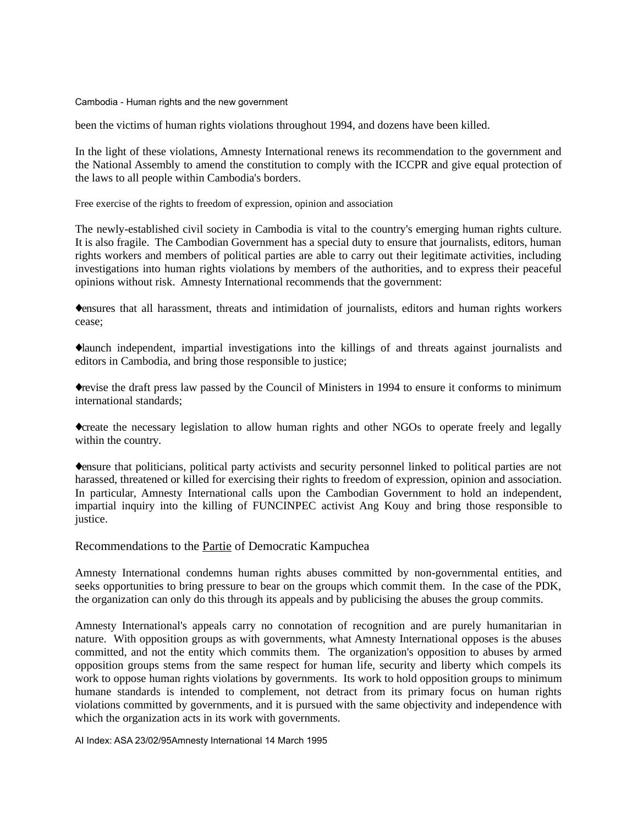been the victims of human rights violations throughout 1994, and dozens have been killed.

In the light of these violations, Amnesty International renews its recommendation to the government and the National Assembly to amend the constitution to comply with the ICCPR and give equal protection of the laws to all people within Cambodia's borders.

Free exercise of the rights to freedom of expression, opinion and association

The newly-established civil society in Cambodia is vital to the country's emerging human rights culture. It is also fragile. The Cambodian Government has a special duty to ensure that journalists, editors, human rights workers and members of political parties are able to carry out their legitimate activities, including investigations into human rights violations by members of the authorities, and to express their peaceful opinions without risk. Amnesty International recommends that the government:

♦ensures that all harassment, threats and intimidation of journalists, editors and human rights workers cease;

♦launch independent, impartial investigations into the killings of and threats against journalists and editors in Cambodia, and bring those responsible to justice;

♦revise the draft press law passed by the Council of Ministers in 1994 to ensure it conforms to minimum international standards;

♦create the necessary legislation to allow human rights and other NGOs to operate freely and legally within the country.

♦ensure that politicians, political party activists and security personnel linked to political parties are not harassed, threatened or killed for exercising their rights to freedom of expression, opinion and association. In particular, Amnesty International calls upon the Cambodian Government to hold an independent, impartial inquiry into the killing of FUNCINPEC activist Ang Kouy and bring those responsible to justice.

Recommendations to the Partie of Democratic Kampuchea

Amnesty International condemns human rights abuses committed by non-governmental entities, and seeks opportunities to bring pressure to bear on the groups which commit them. In the case of the PDK, the organization can only do this through its appeals and by publicising the abuses the group commits.

Amnesty International's appeals carry no connotation of recognition and are purely humanitarian in nature. With opposition groups as with governments, what Amnesty International opposes is the abuses committed, and not the entity which commits them. The organization's opposition to abuses by armed opposition groups stems from the same respect for human life, security and liberty which compels its work to oppose human rights violations by governments. Its work to hold opposition groups to minimum humane standards is intended to complement, not detract from its primary focus on human rights violations committed by governments, and it is pursued with the same objectivity and independence with which the organization acts in its work with governments.

AI Index: ASA 23/02/95Amnesty International 14 March 1995